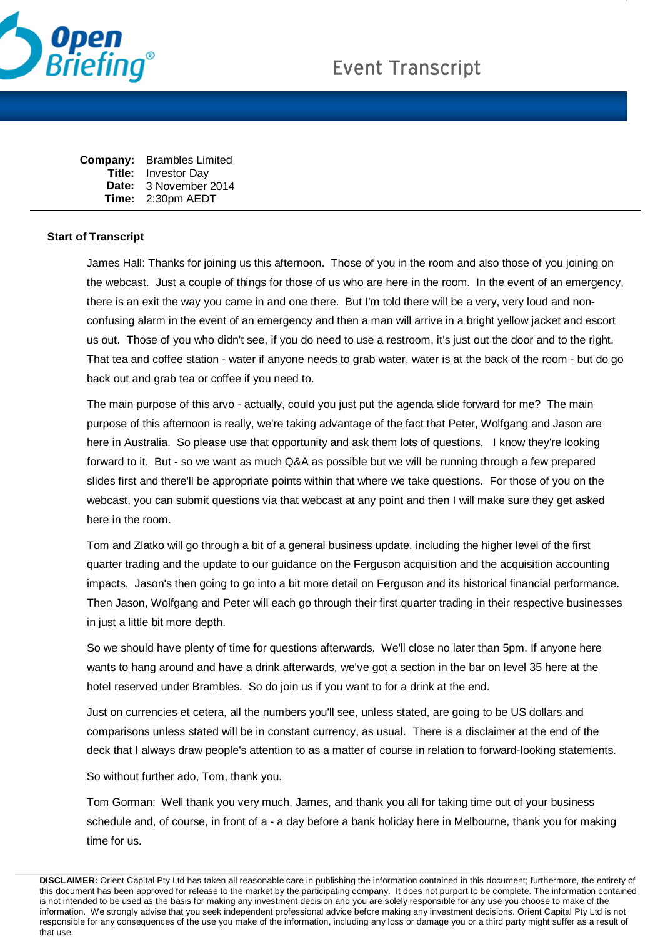

| Company: | <b>Brambles Limited</b> |
|----------|-------------------------|
| Title:   | <b>Investor Day</b>     |
| Date:    | 3 November 2014         |
| Time:    | 2:30pm AEDT             |

## **Start of Transcript**

James Hall: Thanks for joining us this afternoon. Those of you in the room and also those of you joining on the webcast. Just a couple of things for those of us who are here in the room. In the event of an emergency, there is an exit the way you came in and one there. But I'm told there will be a very, very loud and nonconfusing alarm in the event of an emergency and then a man will arrive in a bright yellow jacket and escort us out. Those of you who didn't see, if you do need to use a restroom, it's just out the door and to the right. That tea and coffee station - water if anyone needs to grab water, water is at the back of the room - but do go back out and grab tea or coffee if you need to.

The main purpose of this arvo - actually, could you just put the agenda slide forward for me? The main purpose of this afternoon is really, we're taking advantage of the fact that Peter, Wolfgang and Jason are here in Australia. So please use that opportunity and ask them lots of questions. I know they're looking forward to it. But - so we want as much Q&A as possible but we will be running through a few prepared slides first and there'll be appropriate points within that where we take questions. For those of you on the webcast, you can submit questions via that webcast at any point and then I will make sure they get asked here in the room.

Tom and Zlatko will go through a bit of a general business update, including the higher level of the first quarter trading and the update to our guidance on the Ferguson acquisition and the acquisition accounting impacts. Jason's then going to go into a bit more detail on Ferguson and its historical financial performance. Then Jason, Wolfgang and Peter will each go through their first quarter trading in their respective businesses in just a little bit more depth.

So we should have plenty of time for questions afterwards. We'll close no later than 5pm. If anyone here wants to hang around and have a drink afterwards, we've got a section in the bar on level 35 here at the hotel reserved under Brambles. So do join us if you want to for a drink at the end.

Just on currencies et cetera, all the numbers you'll see, unless stated, are going to be US dollars and comparisons unless stated will be in constant currency, as usual. There is a disclaimer at the end of the deck that I always draw people's attention to as a matter of course in relation to forward-looking statements.

So without further ado, Tom, thank you.

Tom Gorman: Well thank you very much, James, and thank you all for taking time out of your business schedule and, of course, in front of a - a day before a bank holiday here in Melbourne, thank you for making time for us.

**DISCLAIMER:** Orient Capital Pty Ltd has taken all reasonable care in publishing the information contained in this document; furthermore, the entirety of this document has been approved for release to the market by the participating company. It does not purport to be complete. The information contained is not intended to be used as the basis for making any investment decision and you are solely responsible for any use you choose to make of the information. We strongly advise that you seek independent professional advice before making any investment decisions. Orient Capital Pty Ltd is not responsible for any consequences of the use you make of the information, including any loss or damage you or a third party might suffer as a result of that use.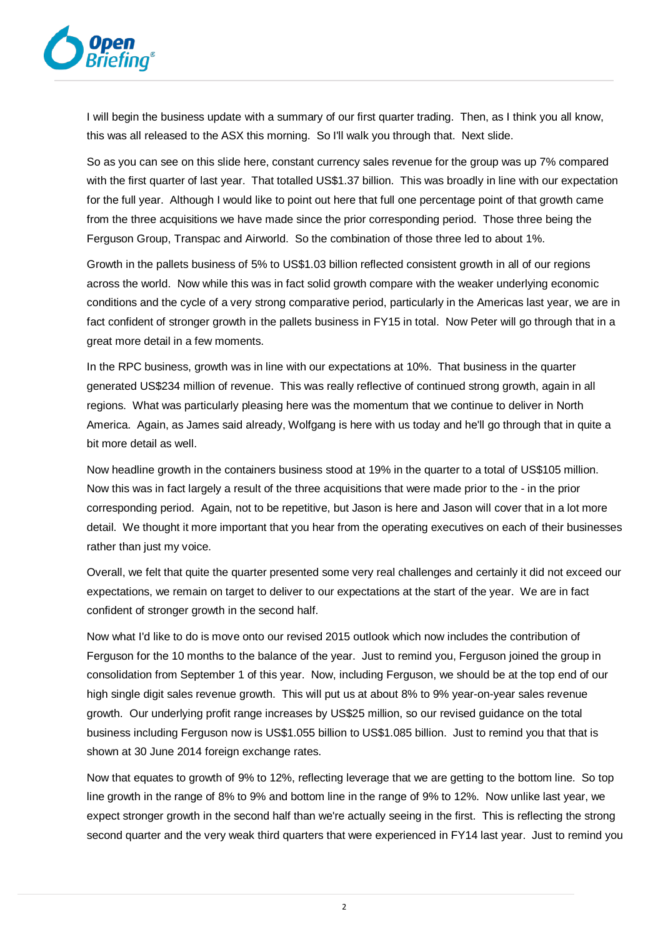

I will begin the business update with a summary of our first quarter trading. Then, as I think you all know, this was all released to the ASX this morning. So I'll walk you through that. Next slide.

So as you can see on this slide here, constant currency sales revenue for the group was up 7% compared with the first quarter of last year. That totalled US\$1.37 billion. This was broadly in line with our expectation for the full year. Although I would like to point out here that full one percentage point of that growth came from the three acquisitions we have made since the prior corresponding period. Those three being the Ferguson Group, Transpac and Airworld. So the combination of those three led to about 1%.

Growth in the pallets business of 5% to US\$1.03 billion reflected consistent growth in all of our regions across the world. Now while this was in fact solid growth compare with the weaker underlying economic conditions and the cycle of a very strong comparative period, particularly in the Americas last year, we are in fact confident of stronger growth in the pallets business in FY15 in total. Now Peter will go through that in a great more detail in a few moments.

In the RPC business, growth was in line with our expectations at 10%. That business in the quarter generated US\$234 million of revenue. This was really reflective of continued strong growth, again in all regions. What was particularly pleasing here was the momentum that we continue to deliver in North America. Again, as James said already, Wolfgang is here with us today and he'll go through that in quite a bit more detail as well.

Now headline growth in the containers business stood at 19% in the quarter to a total of US\$105 million. Now this was in fact largely a result of the three acquisitions that were made prior to the - in the prior corresponding period. Again, not to be repetitive, but Jason is here and Jason will cover that in a lot more detail. We thought it more important that you hear from the operating executives on each of their businesses rather than just my voice.

Overall, we felt that quite the quarter presented some very real challenges and certainly it did not exceed our expectations, we remain on target to deliver to our expectations at the start of the year. We are in fact confident of stronger growth in the second half.

Now what I'd like to do is move onto our revised 2015 outlook which now includes the contribution of Ferguson for the 10 months to the balance of the year. Just to remind you, Ferguson joined the group in consolidation from September 1 of this year. Now, including Ferguson, we should be at the top end of our high single digit sales revenue growth. This will put us at about 8% to 9% year-on-year sales revenue growth. Our underlying profit range increases by US\$25 million, so our revised guidance on the total business including Ferguson now is US\$1.055 billion to US\$1.085 billion. Just to remind you that that is shown at 30 June 2014 foreign exchange rates.

Now that equates to growth of 9% to 12%, reflecting leverage that we are getting to the bottom line. So top line growth in the range of 8% to 9% and bottom line in the range of 9% to 12%. Now unlike last year, we expect stronger growth in the second half than we're actually seeing in the first. This is reflecting the strong second quarter and the very weak third quarters that were experienced in FY14 last year. Just to remind you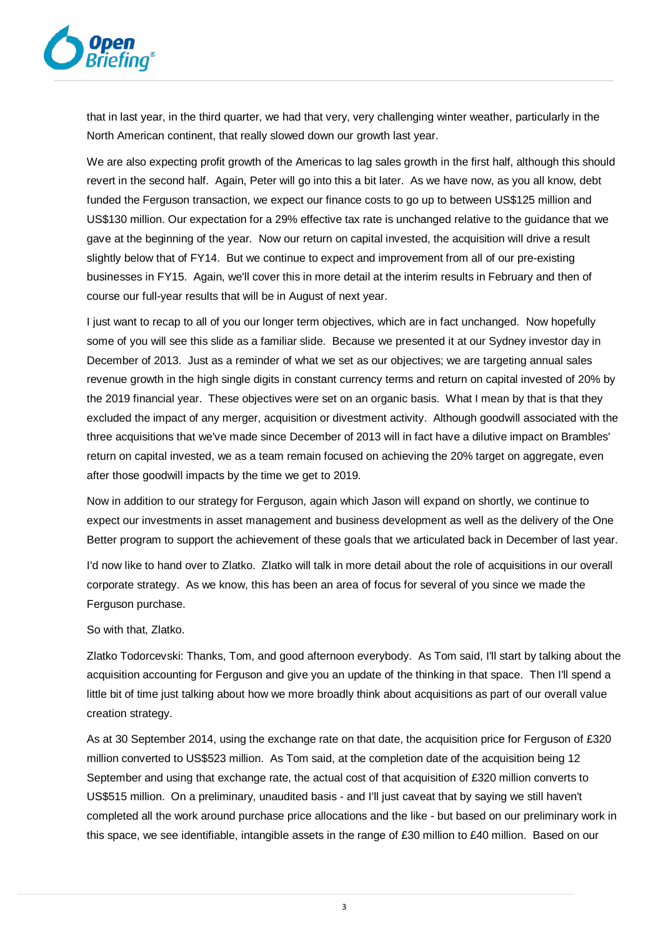

that in last year, in the third quarter, we had that very, very challenging winter weather, particularly in the North American continent, that really slowed down our growth last year.

We are also expecting profit growth of the Americas to lag sales growth in the first half, although this should revert in the second half. Again, Peter will go into this a bit later. As we have now, as you all know, debt funded the Ferguson transaction, we expect our finance costs to go up to between US\$125 million and US\$130 million. Our expectation for a 29% effective tax rate is unchanged relative to the guidance that we gave at the beginning of the year. Now our return on capital invested, the acquisition will drive a result slightly below that of FY14. But we continue to expect and improvement from all of our pre-existing businesses in FY15. Again, we'll cover this in more detail at the interim results in February and then of course our full-year results that will be in August of next year.

I just want to recap to all of you our longer term objectives, which are in fact unchanged. Now hopefully some of you will see this slide as a familiar slide. Because we presented it at our Sydney investor day in December of 2013. Just as a reminder of what we set as our objectives; we are targeting annual sales revenue growth in the high single digits in constant currency terms and return on capital invested of 20% by the 2019 financial year. These objectives were set on an organic basis. What I mean by that is that they excluded the impact of any merger, acquisition or divestment activity. Although goodwill associated with the three acquisitions that we've made since December of 2013 will in fact have a dilutive impact on Brambles' return on capital invested, we as a team remain focused on achieving the 20% target on aggregate, even after those goodwill impacts by the time we get to 2019.

Now in addition to our strategy for Ferguson, again which Jason will expand on shortly, we continue to expect our investments in asset management and business development as well as the delivery of the One Better program to support the achievement of these goals that we articulated back in December of last year.

I'd now like to hand over to Zlatko. Zlatko will talk in more detail about the role of acquisitions in our overall corporate strategy. As we know, this has been an area of focus for several of you since we made the Ferguson purchase.

So with that, Zlatko.

Zlatko Todorcevski: Thanks, Tom, and good afternoon everybody. As Tom said, I'll start by talking about the acquisition accounting for Ferguson and give you an update of the thinking in that space. Then I'll spend a little bit of time just talking about how we more broadly think about acquisitions as part of our overall value creation strategy.

As at 30 September 2014, using the exchange rate on that date, the acquisition price for Ferguson of £320 million converted to US\$523 million. As Tom said, at the completion date of the acquisition being 12 September and using that exchange rate, the actual cost of that acquisition of £320 million converts to US\$515 million. On a preliminary, unaudited basis - and I'll just caveat that by saying we still haven't completed all the work around purchase price allocations and the like - but based on our preliminary work in this space, we see identifiable, intangible assets in the range of £30 million to £40 million. Based on our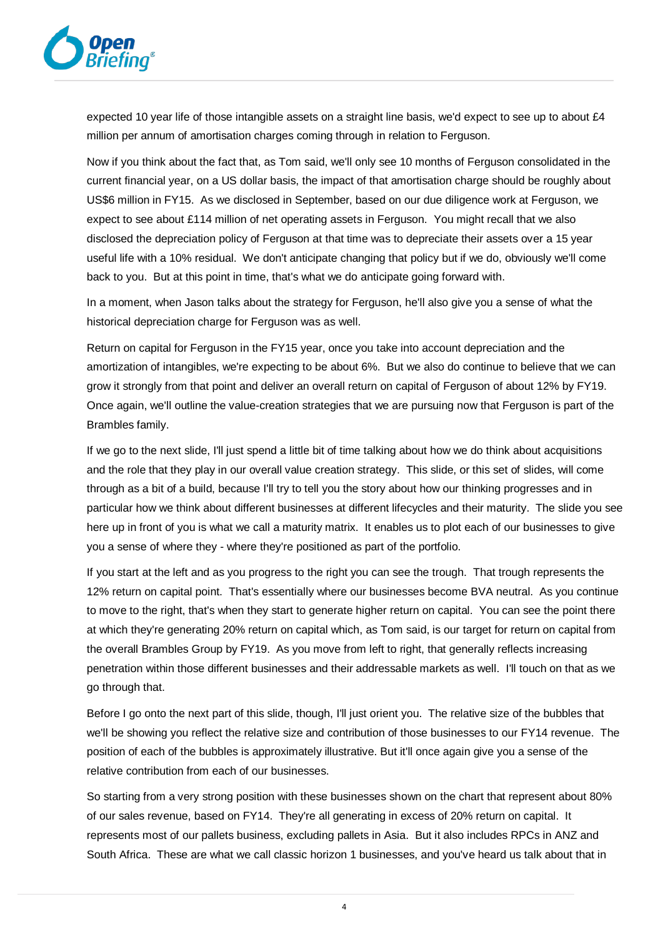

expected 10 year life of those intangible assets on a straight line basis, we'd expect to see up to about £4 million per annum of amortisation charges coming through in relation to Ferguson.

Now if you think about the fact that, as Tom said, we'll only see 10 months of Ferguson consolidated in the current financial year, on a US dollar basis, the impact of that amortisation charge should be roughly about US\$6 million in FY15. As we disclosed in September, based on our due diligence work at Ferguson, we expect to see about £114 million of net operating assets in Ferguson. You might recall that we also disclosed the depreciation policy of Ferguson at that time was to depreciate their assets over a 15 year useful life with a 10% residual. We don't anticipate changing that policy but if we do, obviously we'll come back to you. But at this point in time, that's what we do anticipate going forward with.

In a moment, when Jason talks about the strategy for Ferguson, he'll also give you a sense of what the historical depreciation charge for Ferguson was as well.

Return on capital for Ferguson in the FY15 year, once you take into account depreciation and the amortization of intangibles, we're expecting to be about 6%. But we also do continue to believe that we can grow it strongly from that point and deliver an overall return on capital of Ferguson of about 12% by FY19. Once again, we'll outline the value-creation strategies that we are pursuing now that Ferguson is part of the Brambles family.

If we go to the next slide, I'll just spend a little bit of time talking about how we do think about acquisitions and the role that they play in our overall value creation strategy. This slide, or this set of slides, will come through as a bit of a build, because I'll try to tell you the story about how our thinking progresses and in particular how we think about different businesses at different lifecycles and their maturity. The slide you see here up in front of you is what we call a maturity matrix. It enables us to plot each of our businesses to give you a sense of where they - where they're positioned as part of the portfolio.

If you start at the left and as you progress to the right you can see the trough. That trough represents the 12% return on capital point. That's essentially where our businesses become BVA neutral. As you continue to move to the right, that's when they start to generate higher return on capital. You can see the point there at which they're generating 20% return on capital which, as Tom said, is our target for return on capital from the overall Brambles Group by FY19. As you move from left to right, that generally reflects increasing penetration within those different businesses and their addressable markets as well. I'll touch on that as we go through that.

Before I go onto the next part of this slide, though, I'll just orient you. The relative size of the bubbles that we'll be showing you reflect the relative size and contribution of those businesses to our FY14 revenue. The position of each of the bubbles is approximately illustrative. But it'll once again give you a sense of the relative contribution from each of our businesses.

So starting from a very strong position with these businesses shown on the chart that represent about 80% of our sales revenue, based on FY14. They're all generating in excess of 20% return on capital. It represents most of our pallets business, excluding pallets in Asia. But it also includes RPCs in ANZ and South Africa. These are what we call classic horizon 1 businesses, and you've heard us talk about that in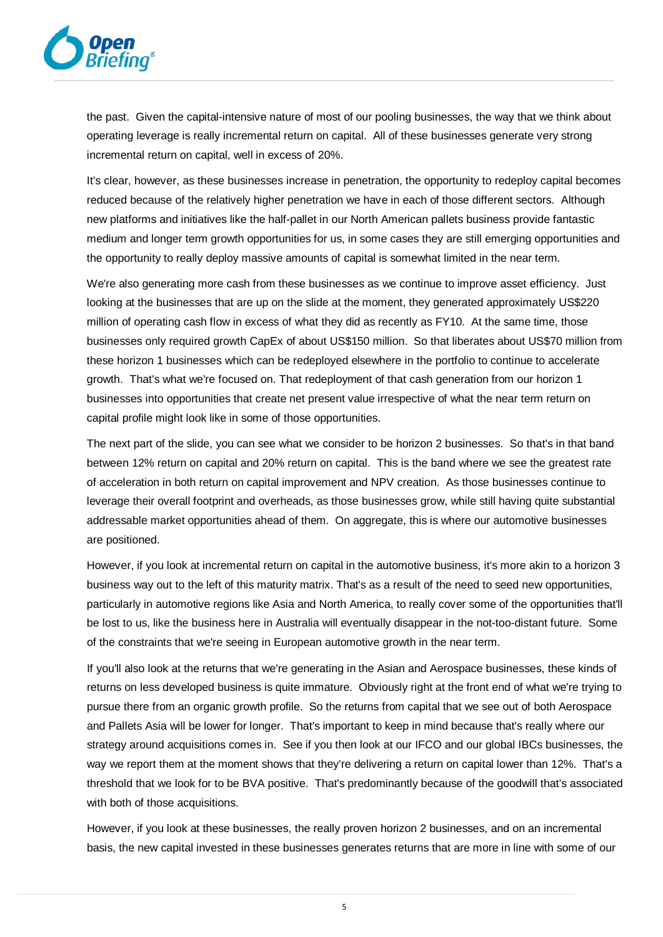

the past. Given the capital-intensive nature of most of our pooling businesses, the way that we think about operating leverage is really incremental return on capital. All of these businesses generate very strong incremental return on capital, well in excess of 20%.

It's clear, however, as these businesses increase in penetration, the opportunity to redeploy capital becomes reduced because of the relatively higher penetration we have in each of those different sectors. Although new platforms and initiatives like the half-pallet in our North American pallets business provide fantastic medium and longer term growth opportunities for us, in some cases they are still emerging opportunities and the opportunity to really deploy massive amounts of capital is somewhat limited in the near term.

We're also generating more cash from these businesses as we continue to improve asset efficiency. Just looking at the businesses that are up on the slide at the moment, they generated approximately US\$220 million of operating cash flow in excess of what they did as recently as FY10. At the same time, those businesses only required growth CapEx of about US\$150 million. So that liberates about US\$70 million from these horizon 1 businesses which can be redeployed elsewhere in the portfolio to continue to accelerate growth. That's what we're focused on. That redeployment of that cash generation from our horizon 1 businesses into opportunities that create net present value irrespective of what the near term return on capital profile might look like in some of those opportunities.

The next part of the slide, you can see what we consider to be horizon 2 businesses. So that's in that band between 12% return on capital and 20% return on capital. This is the band where we see the greatest rate of acceleration in both return on capital improvement and NPV creation. As those businesses continue to leverage their overall footprint and overheads, as those businesses grow, while still having quite substantial addressable market opportunities ahead of them. On aggregate, this is where our automotive businesses are positioned.

However, if you look at incremental return on capital in the automotive business, it's more akin to a horizon 3 business way out to the left of this maturity matrix. That's as a result of the need to seed new opportunities, particularly in automotive regions like Asia and North America, to really cover some of the opportunities that'll be lost to us, like the business here in Australia will eventually disappear in the not-too-distant future. Some of the constraints that we're seeing in European automotive growth in the near term.

If you'll also look at the returns that we're generating in the Asian and Aerospace businesses, these kinds of returns on less developed business is quite immature. Obviously right at the front end of what we're trying to pursue there from an organic growth profile. So the returns from capital that we see out of both Aerospace and Pallets Asia will be lower for longer. That's important to keep in mind because that's really where our strategy around acquisitions comes in. See if you then look at our IFCO and our global IBCs businesses, the way we report them at the moment shows that they're delivering a return on capital lower than 12%. That's a threshold that we look for to be BVA positive. That's predominantly because of the goodwill that's associated with both of those acquisitions.

However, if you look at these businesses, the really proven horizon 2 businesses, and on an incremental basis, the new capital invested in these businesses generates returns that are more in line with some of our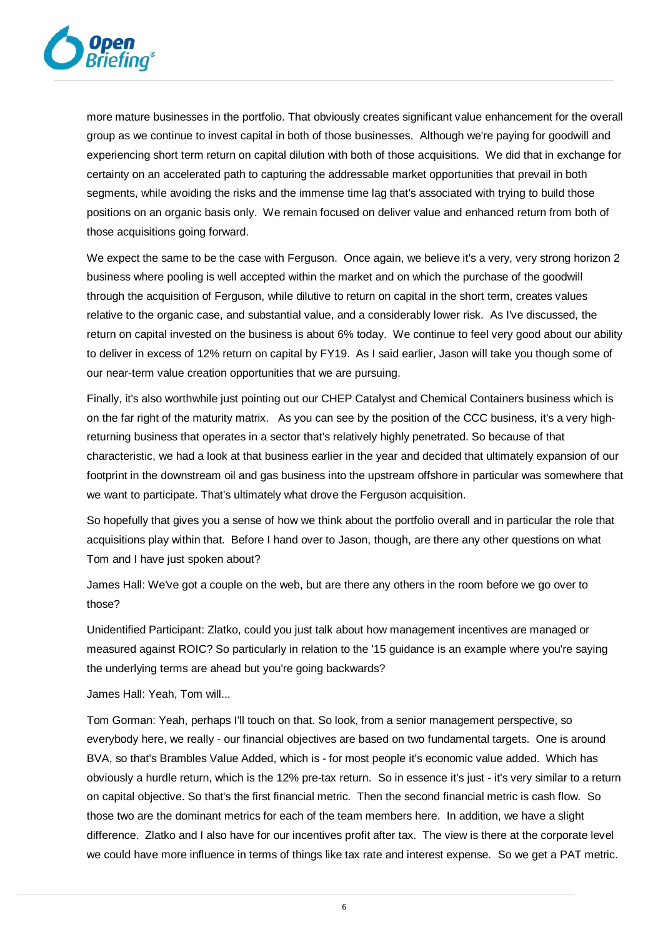

more mature businesses in the portfolio. That obviously creates significant value enhancement for the overall group as we continue to invest capital in both of those businesses. Although we're paying for goodwill and experiencing short term return on capital dilution with both of those acquisitions. We did that in exchange for certainty on an accelerated path to capturing the addressable market opportunities that prevail in both segments, while avoiding the risks and the immense time lag that's associated with trying to build those positions on an organic basis only. We remain focused on deliver value and enhanced return from both of those acquisitions going forward.

We expect the same to be the case with Ferguson. Once again, we believe it's a very, very strong horizon 2 business where pooling is well accepted within the market and on which the purchase of the goodwill through the acquisition of Ferguson, while dilutive to return on capital in the short term, creates values relative to the organic case, and substantial value, and a considerably lower risk. As I've discussed, the return on capital invested on the business is about 6% today. We continue to feel very good about our ability to deliver in excess of 12% return on capital by FY19. As I said earlier, Jason will take you though some of our near-term value creation opportunities that we are pursuing.

Finally, it's also worthwhile just pointing out our CHEP Catalyst and Chemical Containers business which is on the far right of the maturity matrix. As you can see by the position of the CCC business, it's a very highreturning business that operates in a sector that's relatively highly penetrated. So because of that characteristic, we had a look at that business earlier in the year and decided that ultimately expansion of our footprint in the downstream oil and gas business into the upstream offshore in particular was somewhere that we want to participate. That's ultimately what drove the Ferguson acquisition.

So hopefully that gives you a sense of how we think about the portfolio overall and in particular the role that acquisitions play within that. Before I hand over to Jason, though, are there any other questions on what Tom and I have just spoken about?

James Hall: We've got a couple on the web, but are there any others in the room before we go over to those?

Unidentified Participant: Zlatko, could you just talk about how management incentives are managed or measured against ROIC? So particularly in relation to the '15 guidance is an example where you're saying the underlying terms are ahead but you're going backwards?

James Hall: Yeah, Tom will...

Tom Gorman: Yeah, perhaps I'll touch on that. So look, from a senior management perspective, so everybody here, we really - our financial objectives are based on two fundamental targets. One is around BVA, so that's Brambles Value Added, which is - for most people it's economic value added. Which has obviously a hurdle return, which is the 12% pre-tax return. So in essence it's just - it's very similar to a return on capital objective. So that's the first financial metric. Then the second financial metric is cash flow. So those two are the dominant metrics for each of the team members here. In addition, we have a slight difference. Zlatko and I also have for our incentives profit after tax. The view is there at the corporate level we could have more influence in terms of things like tax rate and interest expense. So we get a PAT metric.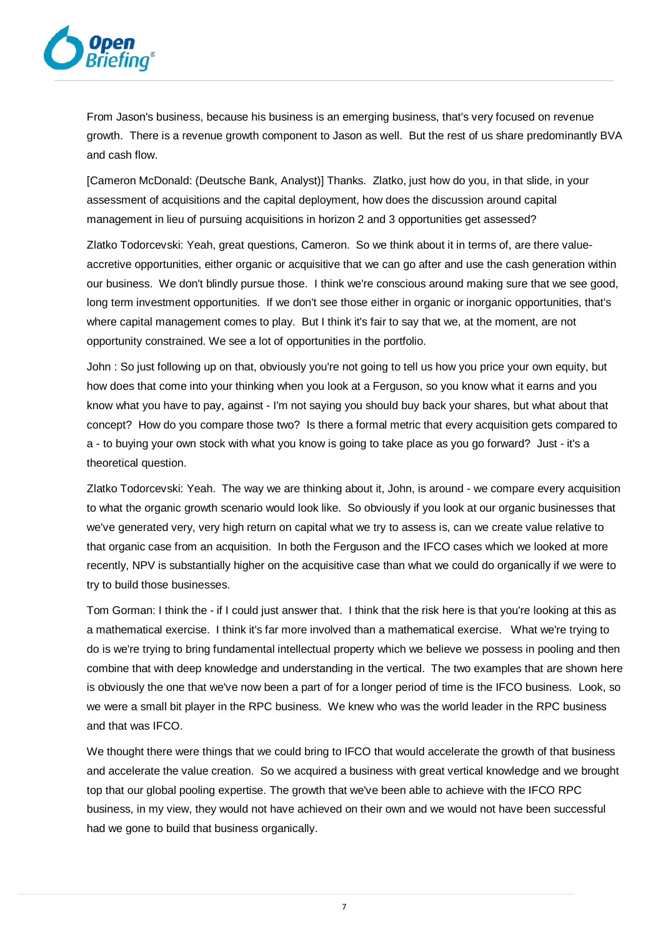

From Jason's business, because his business is an emerging business, that's very focused on revenue growth. There is a revenue growth component to Jason as well. But the rest of us share predominantly BVA and cash flow.

[Cameron McDonald: (Deutsche Bank, Analyst)] Thanks. Zlatko, just how do you, in that slide, in your assessment of acquisitions and the capital deployment, how does the discussion around capital management in lieu of pursuing acquisitions in horizon 2 and 3 opportunities get assessed?

Zlatko Todorcevski: Yeah, great questions, Cameron. So we think about it in terms of, are there valueaccretive opportunities, either organic or acquisitive that we can go after and use the cash generation within our business. We don't blindly pursue those. I think we're conscious around making sure that we see good, long term investment opportunities. If we don't see those either in organic or inorganic opportunities, that's where capital management comes to play. But I think it's fair to say that we, at the moment, are not opportunity constrained. We see a lot of opportunities in the portfolio.

John : So just following up on that, obviously you're not going to tell us how you price your own equity, but how does that come into your thinking when you look at a Ferguson, so you know what it earns and you know what you have to pay, against - I'm not saying you should buy back your shares, but what about that concept? How do you compare those two? Is there a formal metric that every acquisition gets compared to a - to buying your own stock with what you know is going to take place as you go forward? Just - it's a theoretical question.

Zlatko Todorcevski: Yeah. The way we are thinking about it, John, is around - we compare every acquisition to what the organic growth scenario would look like. So obviously if you look at our organic businesses that we've generated very, very high return on capital what we try to assess is, can we create value relative to that organic case from an acquisition. In both the Ferguson and the IFCO cases which we looked at more recently, NPV is substantially higher on the acquisitive case than what we could do organically if we were to try to build those businesses.

Tom Gorman: I think the - if I could just answer that. I think that the risk here is that you're looking at this as a mathematical exercise. I think it's far more involved than a mathematical exercise. What we're trying to do is we're trying to bring fundamental intellectual property which we believe we possess in pooling and then combine that with deep knowledge and understanding in the vertical. The two examples that are shown here is obviously the one that we've now been a part of for a longer period of time is the IFCO business. Look, so we were a small bit player in the RPC business. We knew who was the world leader in the RPC business and that was IFCO.

We thought there were things that we could bring to IFCO that would accelerate the growth of that business and accelerate the value creation. So we acquired a business with great vertical knowledge and we brought top that our global pooling expertise. The growth that we've been able to achieve with the IFCO RPC business, in my view, they would not have achieved on their own and we would not have been successful had we gone to build that business organically.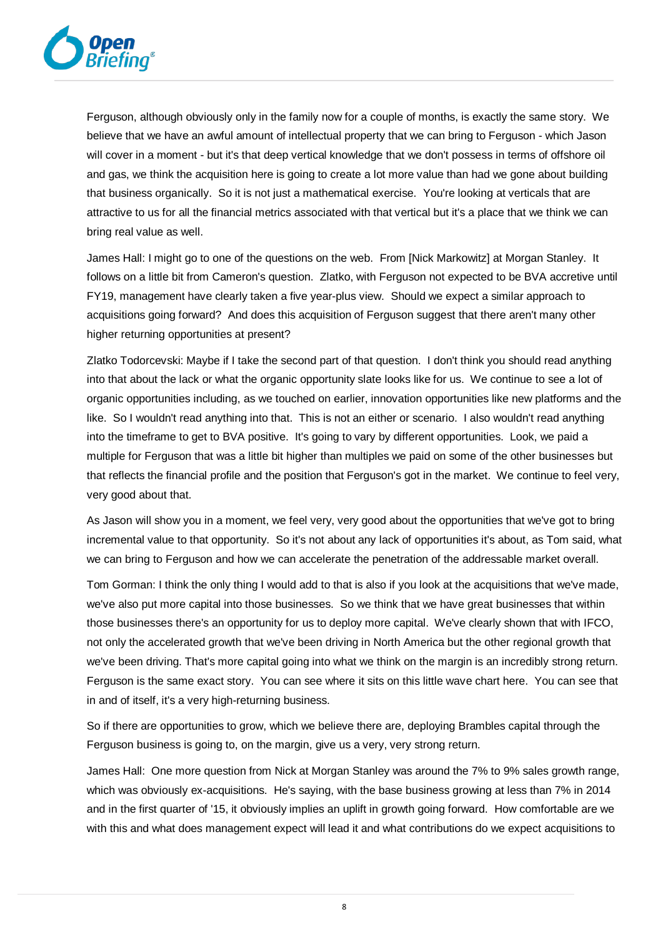

Ferguson, although obviously only in the family now for a couple of months, is exactly the same story. We believe that we have an awful amount of intellectual property that we can bring to Ferguson - which Jason will cover in a moment - but it's that deep vertical knowledge that we don't possess in terms of offshore oil and gas, we think the acquisition here is going to create a lot more value than had we gone about building that business organically. So it is not just a mathematical exercise. You're looking at verticals that are attractive to us for all the financial metrics associated with that vertical but it's a place that we think we can bring real value as well.

James Hall: I might go to one of the questions on the web. From [Nick Markowitz] at Morgan Stanley. It follows on a little bit from Cameron's question. Zlatko, with Ferguson not expected to be BVA accretive until FY19, management have clearly taken a five year-plus view. Should we expect a similar approach to acquisitions going forward? And does this acquisition of Ferguson suggest that there aren't many other higher returning opportunities at present?

Zlatko Todorcevski: Maybe if I take the second part of that question. I don't think you should read anything into that about the lack or what the organic opportunity slate looks like for us. We continue to see a lot of organic opportunities including, as we touched on earlier, innovation opportunities like new platforms and the like. So I wouldn't read anything into that. This is not an either or scenario. I also wouldn't read anything into the timeframe to get to BVA positive. It's going to vary by different opportunities. Look, we paid a multiple for Ferguson that was a little bit higher than multiples we paid on some of the other businesses but that reflects the financial profile and the position that Ferguson's got in the market. We continue to feel very, very good about that.

As Jason will show you in a moment, we feel very, very good about the opportunities that we've got to bring incremental value to that opportunity. So it's not about any lack of opportunities it's about, as Tom said, what we can bring to Ferguson and how we can accelerate the penetration of the addressable market overall.

Tom Gorman: I think the only thing I would add to that is also if you look at the acquisitions that we've made, we've also put more capital into those businesses. So we think that we have great businesses that within those businesses there's an opportunity for us to deploy more capital. We've clearly shown that with IFCO, not only the accelerated growth that we've been driving in North America but the other regional growth that we've been driving. That's more capital going into what we think on the margin is an incredibly strong return. Ferguson is the same exact story. You can see where it sits on this little wave chart here. You can see that in and of itself, it's a very high-returning business.

So if there are opportunities to grow, which we believe there are, deploying Brambles capital through the Ferguson business is going to, on the margin, give us a very, very strong return.

James Hall: One more question from Nick at Morgan Stanley was around the 7% to 9% sales growth range, which was obviously ex-acquisitions. He's saying, with the base business growing at less than 7% in 2014 and in the first quarter of '15, it obviously implies an uplift in growth going forward. How comfortable are we with this and what does management expect will lead it and what contributions do we expect acquisitions to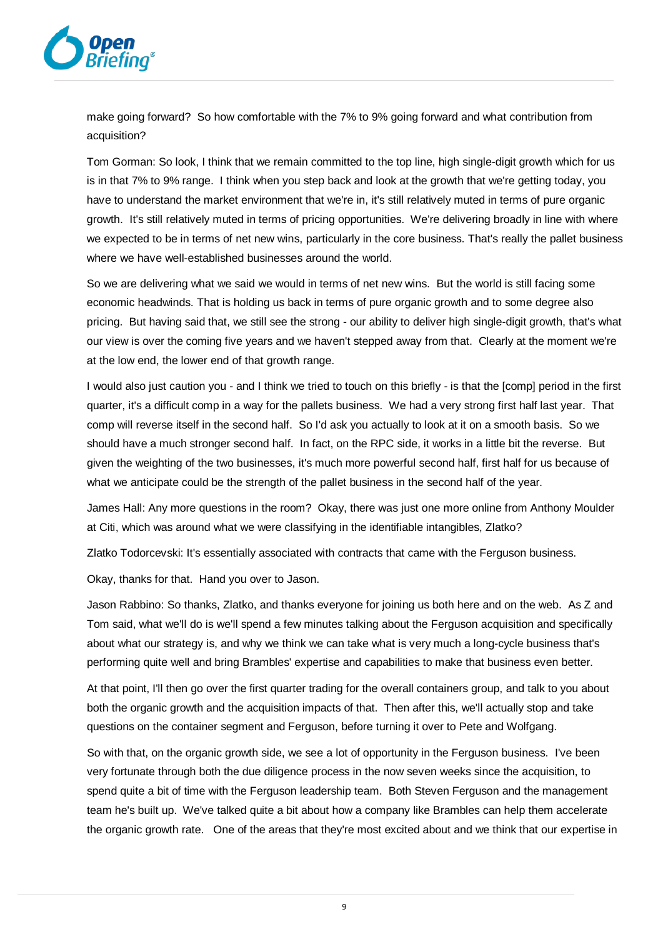

make going forward? So how comfortable with the 7% to 9% going forward and what contribution from acquisition?

Tom Gorman: So look, I think that we remain committed to the top line, high single-digit growth which for us is in that 7% to 9% range. I think when you step back and look at the growth that we're getting today, you have to understand the market environment that we're in, it's still relatively muted in terms of pure organic growth. It's still relatively muted in terms of pricing opportunities. We're delivering broadly in line with where we expected to be in terms of net new wins, particularly in the core business. That's really the pallet business where we have well-established businesses around the world.

So we are delivering what we said we would in terms of net new wins. But the world is still facing some economic headwinds. That is holding us back in terms of pure organic growth and to some degree also pricing. But having said that, we still see the strong - our ability to deliver high single-digit growth, that's what our view is over the coming five years and we haven't stepped away from that. Clearly at the moment we're at the low end, the lower end of that growth range.

I would also just caution you - and I think we tried to touch on this briefly - is that the [comp] period in the first quarter, it's a difficult comp in a way for the pallets business. We had a very strong first half last year. That comp will reverse itself in the second half. So I'd ask you actually to look at it on a smooth basis. So we should have a much stronger second half. In fact, on the RPC side, it works in a little bit the reverse. But given the weighting of the two businesses, it's much more powerful second half, first half for us because of what we anticipate could be the strength of the pallet business in the second half of the year.

James Hall: Any more questions in the room? Okay, there was just one more online from Anthony Moulder at Citi, which was around what we were classifying in the identifiable intangibles, Zlatko?

Zlatko Todorcevski: It's essentially associated with contracts that came with the Ferguson business.

Okay, thanks for that. Hand you over to Jason.

Jason Rabbino: So thanks, Zlatko, and thanks everyone for joining us both here and on the web. As Z and Tom said, what we'll do is we'll spend a few minutes talking about the Ferguson acquisition and specifically about what our strategy is, and why we think we can take what is very much a long-cycle business that's performing quite well and bring Brambles' expertise and capabilities to make that business even better.

At that point, I'll then go over the first quarter trading for the overall containers group, and talk to you about both the organic growth and the acquisition impacts of that. Then after this, we'll actually stop and take questions on the container segment and Ferguson, before turning it over to Pete and Wolfgang.

So with that, on the organic growth side, we see a lot of opportunity in the Ferguson business. I've been very fortunate through both the due diligence process in the now seven weeks since the acquisition, to spend quite a bit of time with the Ferguson leadership team. Both Steven Ferguson and the management team he's built up. We've talked quite a bit about how a company like Brambles can help them accelerate the organic growth rate. One of the areas that they're most excited about and we think that our expertise in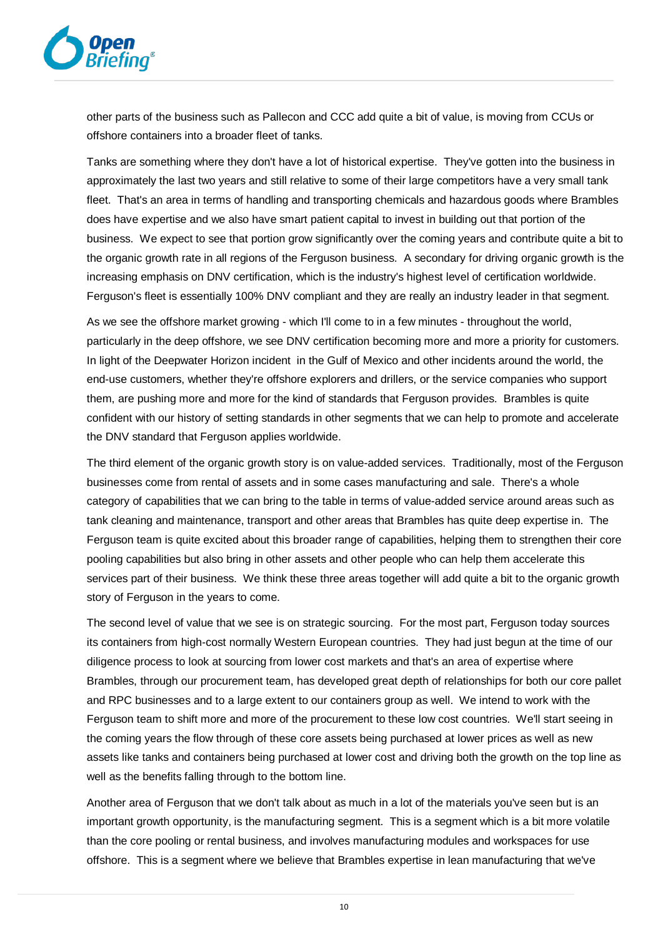

other parts of the business such as Pallecon and CCC add quite a bit of value, is moving from CCUs or offshore containers into a broader fleet of tanks.

Tanks are something where they don't have a lot of historical expertise. They've gotten into the business in approximately the last two years and still relative to some of their large competitors have a very small tank fleet. That's an area in terms of handling and transporting chemicals and hazardous goods where Brambles does have expertise and we also have smart patient capital to invest in building out that portion of the business. We expect to see that portion grow significantly over the coming years and contribute quite a bit to the organic growth rate in all regions of the Ferguson business. A secondary for driving organic growth is the increasing emphasis on DNV certification, which is the industry's highest level of certification worldwide. Ferguson's fleet is essentially 100% DNV compliant and they are really an industry leader in that segment.

As we see the offshore market growing - which I'll come to in a few minutes - throughout the world, particularly in the deep offshore, we see DNV certification becoming more and more a priority for customers. In light of the Deepwater Horizon incident in the Gulf of Mexico and other incidents around the world, the end-use customers, whether they're offshore explorers and drillers, or the service companies who support them, are pushing more and more for the kind of standards that Ferguson provides. Brambles is quite confident with our history of setting standards in other segments that we can help to promote and accelerate the DNV standard that Ferguson applies worldwide.

The third element of the organic growth story is on value-added services. Traditionally, most of the Ferguson businesses come from rental of assets and in some cases manufacturing and sale. There's a whole category of capabilities that we can bring to the table in terms of value-added service around areas such as tank cleaning and maintenance, transport and other areas that Brambles has quite deep expertise in. The Ferguson team is quite excited about this broader range of capabilities, helping them to strengthen their core pooling capabilities but also bring in other assets and other people who can help them accelerate this services part of their business. We think these three areas together will add quite a bit to the organic growth story of Ferguson in the years to come.

The second level of value that we see is on strategic sourcing. For the most part, Ferguson today sources its containers from high-cost normally Western European countries. They had just begun at the time of our diligence process to look at sourcing from lower cost markets and that's an area of expertise where Brambles, through our procurement team, has developed great depth of relationships for both our core pallet and RPC businesses and to a large extent to our containers group as well. We intend to work with the Ferguson team to shift more and more of the procurement to these low cost countries. We'll start seeing in the coming years the flow through of these core assets being purchased at lower prices as well as new assets like tanks and containers being purchased at lower cost and driving both the growth on the top line as well as the benefits falling through to the bottom line.

Another area of Ferguson that we don't talk about as much in a lot of the materials you've seen but is an important growth opportunity, is the manufacturing segment. This is a segment which is a bit more volatile than the core pooling or rental business, and involves manufacturing modules and workspaces for use offshore. This is a segment where we believe that Brambles expertise in lean manufacturing that we've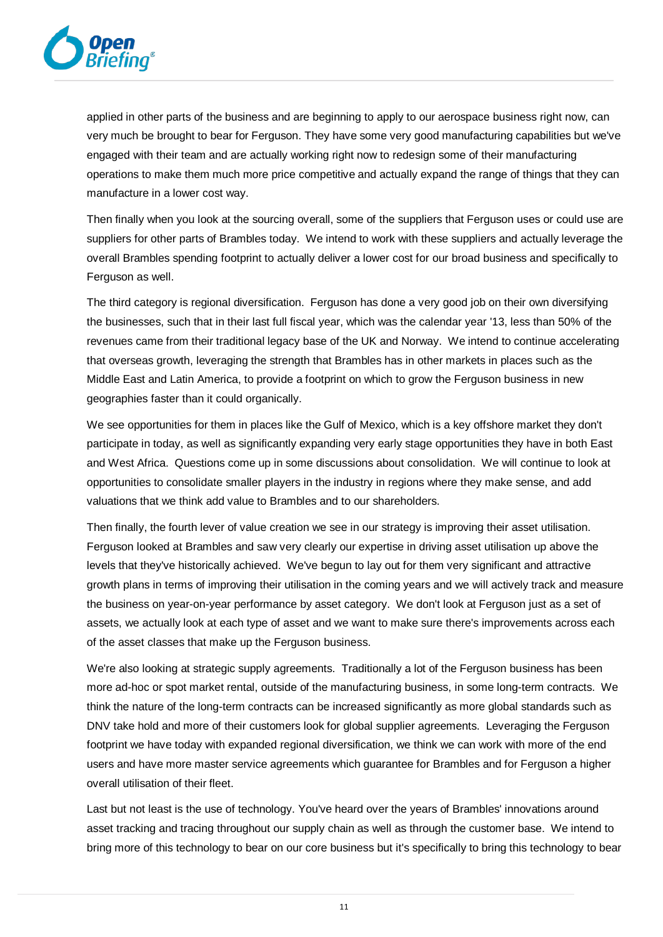

applied in other parts of the business and are beginning to apply to our aerospace business right now, can very much be brought to bear for Ferguson. They have some very good manufacturing capabilities but we've engaged with their team and are actually working right now to redesign some of their manufacturing operations to make them much more price competitive and actually expand the range of things that they can manufacture in a lower cost way.

Then finally when you look at the sourcing overall, some of the suppliers that Ferguson uses or could use are suppliers for other parts of Brambles today. We intend to work with these suppliers and actually leverage the overall Brambles spending footprint to actually deliver a lower cost for our broad business and specifically to Ferguson as well.

The third category is regional diversification. Ferguson has done a very good job on their own diversifying the businesses, such that in their last full fiscal year, which was the calendar year '13, less than 50% of the revenues came from their traditional legacy base of the UK and Norway. We intend to continue accelerating that overseas growth, leveraging the strength that Brambles has in other markets in places such as the Middle East and Latin America, to provide a footprint on which to grow the Ferguson business in new geographies faster than it could organically.

We see opportunities for them in places like the Gulf of Mexico, which is a key offshore market they don't participate in today, as well as significantly expanding very early stage opportunities they have in both East and West Africa. Questions come up in some discussions about consolidation. We will continue to look at opportunities to consolidate smaller players in the industry in regions where they make sense, and add valuations that we think add value to Brambles and to our shareholders.

Then finally, the fourth lever of value creation we see in our strategy is improving their asset utilisation. Ferguson looked at Brambles and saw very clearly our expertise in driving asset utilisation up above the levels that they've historically achieved. We've begun to lay out for them very significant and attractive growth plans in terms of improving their utilisation in the coming years and we will actively track and measure the business on year-on-year performance by asset category. We don't look at Ferguson just as a set of assets, we actually look at each type of asset and we want to make sure there's improvements across each of the asset classes that make up the Ferguson business.

We're also looking at strategic supply agreements. Traditionally a lot of the Ferguson business has been more ad-hoc or spot market rental, outside of the manufacturing business, in some long-term contracts. We think the nature of the long-term contracts can be increased significantly as more global standards such as DNV take hold and more of their customers look for global supplier agreements. Leveraging the Ferguson footprint we have today with expanded regional diversification, we think we can work with more of the end users and have more master service agreements which guarantee for Brambles and for Ferguson a higher overall utilisation of their fleet.

Last but not least is the use of technology. You've heard over the years of Brambles' innovations around asset tracking and tracing throughout our supply chain as well as through the customer base. We intend to bring more of this technology to bear on our core business but it's specifically to bring this technology to bear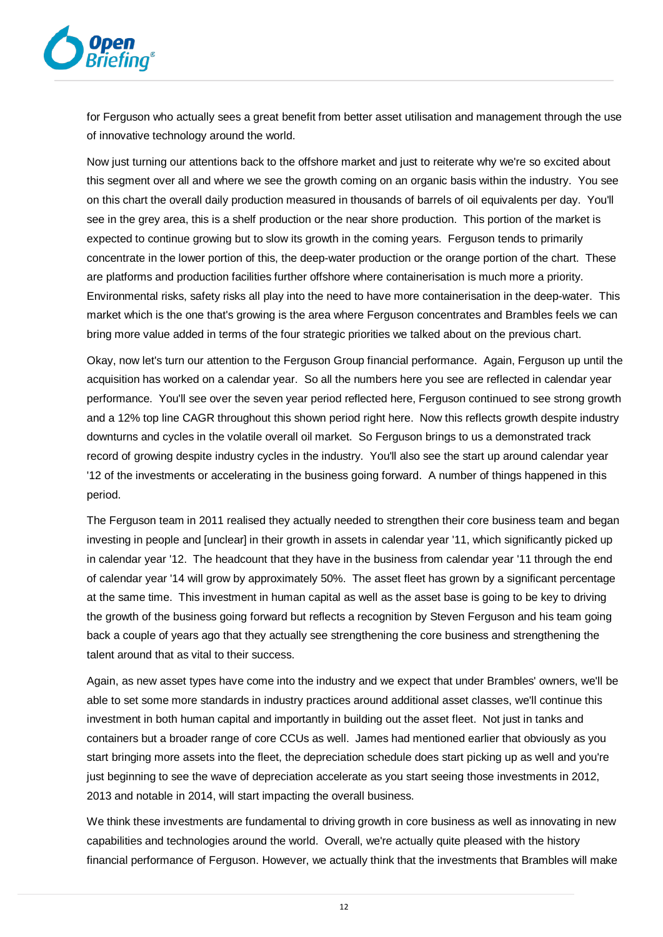

for Ferguson who actually sees a great benefit from better asset utilisation and management through the use of innovative technology around the world.

Now just turning our attentions back to the offshore market and just to reiterate why we're so excited about this segment over all and where we see the growth coming on an organic basis within the industry. You see on this chart the overall daily production measured in thousands of barrels of oil equivalents per day. You'll see in the grey area, this is a shelf production or the near shore production. This portion of the market is expected to continue growing but to slow its growth in the coming years. Ferguson tends to primarily concentrate in the lower portion of this, the deep-water production or the orange portion of the chart. These are platforms and production facilities further offshore where containerisation is much more a priority. Environmental risks, safety risks all play into the need to have more containerisation in the deep-water. This market which is the one that's growing is the area where Ferguson concentrates and Brambles feels we can bring more value added in terms of the four strategic priorities we talked about on the previous chart.

Okay, now let's turn our attention to the Ferguson Group financial performance. Again, Ferguson up until the acquisition has worked on a calendar year. So all the numbers here you see are reflected in calendar year performance. You'll see over the seven year period reflected here, Ferguson continued to see strong growth and a 12% top line CAGR throughout this shown period right here. Now this reflects growth despite industry downturns and cycles in the volatile overall oil market. So Ferguson brings to us a demonstrated track record of growing despite industry cycles in the industry. You'll also see the start up around calendar year '12 of the investments or accelerating in the business going forward. A number of things happened in this period.

The Ferguson team in 2011 realised they actually needed to strengthen their core business team and began investing in people and [unclear] in their growth in assets in calendar year '11, which significantly picked up in calendar year '12. The headcount that they have in the business from calendar year '11 through the end of calendar year '14 will grow by approximately 50%. The asset fleet has grown by a significant percentage at the same time. This investment in human capital as well as the asset base is going to be key to driving the growth of the business going forward but reflects a recognition by Steven Ferguson and his team going back a couple of years ago that they actually see strengthening the core business and strengthening the talent around that as vital to their success.

Again, as new asset types have come into the industry and we expect that under Brambles' owners, we'll be able to set some more standards in industry practices around additional asset classes, we'll continue this investment in both human capital and importantly in building out the asset fleet. Not just in tanks and containers but a broader range of core CCUs as well. James had mentioned earlier that obviously as you start bringing more assets into the fleet, the depreciation schedule does start picking up as well and you're just beginning to see the wave of depreciation accelerate as you start seeing those investments in 2012, 2013 and notable in 2014, will start impacting the overall business.

We think these investments are fundamental to driving growth in core business as well as innovating in new capabilities and technologies around the world. Overall, we're actually quite pleased with the history financial performance of Ferguson. However, we actually think that the investments that Brambles will make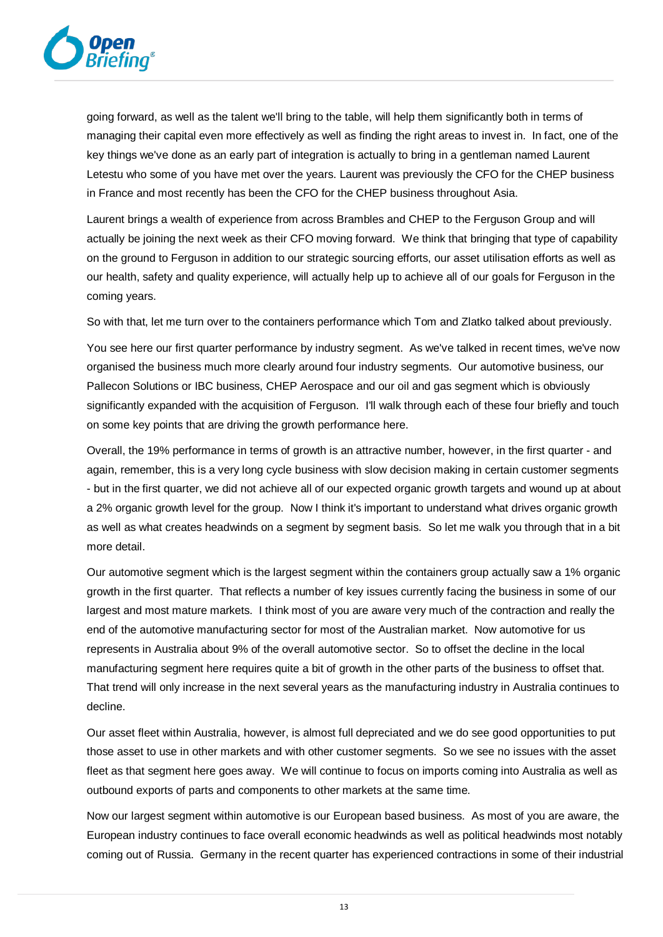

going forward, as well as the talent we'll bring to the table, will help them significantly both in terms of managing their capital even more effectively as well as finding the right areas to invest in. In fact, one of the key things we've done as an early part of integration is actually to bring in a gentleman named Laurent Letestu who some of you have met over the years. Laurent was previously the CFO for the CHEP business in France and most recently has been the CFO for the CHEP business throughout Asia.

Laurent brings a wealth of experience from across Brambles and CHEP to the Ferguson Group and will actually be joining the next week as their CFO moving forward. We think that bringing that type of capability on the ground to Ferguson in addition to our strategic sourcing efforts, our asset utilisation efforts as well as our health, safety and quality experience, will actually help up to achieve all of our goals for Ferguson in the coming years.

So with that, let me turn over to the containers performance which Tom and Zlatko talked about previously.

You see here our first quarter performance by industry segment. As we've talked in recent times, we've now organised the business much more clearly around four industry segments. Our automotive business, our Pallecon Solutions or IBC business, CHEP Aerospace and our oil and gas segment which is obviously significantly expanded with the acquisition of Ferguson. I'll walk through each of these four briefly and touch on some key points that are driving the growth performance here.

Overall, the 19% performance in terms of growth is an attractive number, however, in the first quarter - and again, remember, this is a very long cycle business with slow decision making in certain customer segments - but in the first quarter, we did not achieve all of our expected organic growth targets and wound up at about a 2% organic growth level for the group. Now I think it's important to understand what drives organic growth as well as what creates headwinds on a segment by segment basis. So let me walk you through that in a bit more detail.

Our automotive segment which is the largest segment within the containers group actually saw a 1% organic growth in the first quarter. That reflects a number of key issues currently facing the business in some of our largest and most mature markets. I think most of you are aware very much of the contraction and really the end of the automotive manufacturing sector for most of the Australian market. Now automotive for us represents in Australia about 9% of the overall automotive sector. So to offset the decline in the local manufacturing segment here requires quite a bit of growth in the other parts of the business to offset that. That trend will only increase in the next several years as the manufacturing industry in Australia continues to decline.

Our asset fleet within Australia, however, is almost full depreciated and we do see good opportunities to put those asset to use in other markets and with other customer segments. So we see no issues with the asset fleet as that segment here goes away. We will continue to focus on imports coming into Australia as well as outbound exports of parts and components to other markets at the same time.

Now our largest segment within automotive is our European based business. As most of you are aware, the European industry continues to face overall economic headwinds as well as political headwinds most notably coming out of Russia. Germany in the recent quarter has experienced contractions in some of their industrial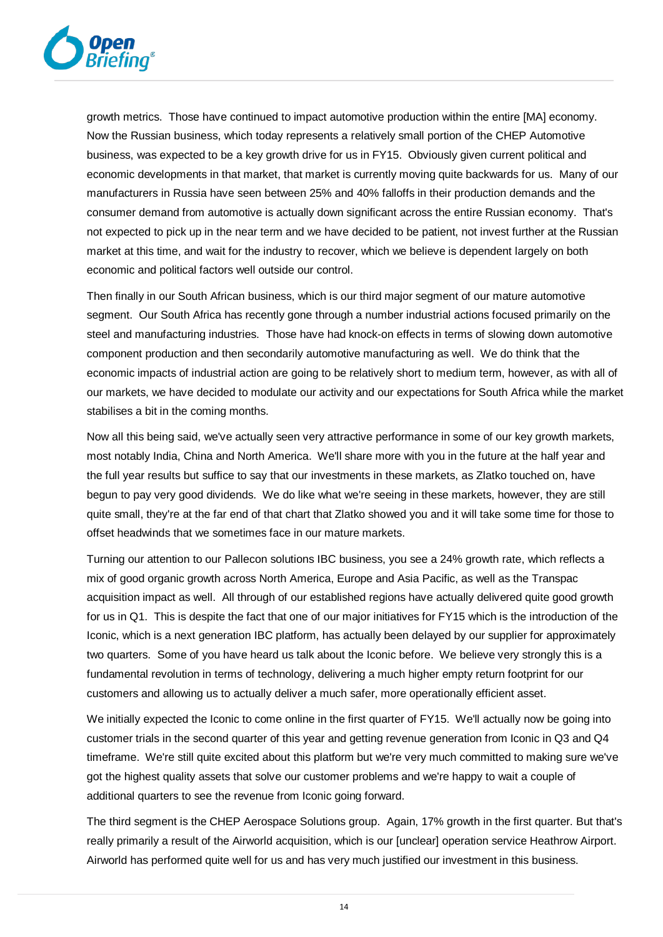

growth metrics. Those have continued to impact automotive production within the entire [MA] economy. Now the Russian business, which today represents a relatively small portion of the CHEP Automotive business, was expected to be a key growth drive for us in FY15. Obviously given current political and economic developments in that market, that market is currently moving quite backwards for us. Many of our manufacturers in Russia have seen between 25% and 40% falloffs in their production demands and the consumer demand from automotive is actually down significant across the entire Russian economy. That's not expected to pick up in the near term and we have decided to be patient, not invest further at the Russian market at this time, and wait for the industry to recover, which we believe is dependent largely on both economic and political factors well outside our control.

Then finally in our South African business, which is our third major segment of our mature automotive segment. Our South Africa has recently gone through a number industrial actions focused primarily on the steel and manufacturing industries. Those have had knock-on effects in terms of slowing down automotive component production and then secondarily automotive manufacturing as well. We do think that the economic impacts of industrial action are going to be relatively short to medium term, however, as with all of our markets, we have decided to modulate our activity and our expectations for South Africa while the market stabilises a bit in the coming months.

Now all this being said, we've actually seen very attractive performance in some of our key growth markets, most notably India, China and North America. We'll share more with you in the future at the half year and the full year results but suffice to say that our investments in these markets, as Zlatko touched on, have begun to pay very good dividends. We do like what we're seeing in these markets, however, they are still quite small, they're at the far end of that chart that Zlatko showed you and it will take some time for those to offset headwinds that we sometimes face in our mature markets.

Turning our attention to our Pallecon solutions IBC business, you see a 24% growth rate, which reflects a mix of good organic growth across North America, Europe and Asia Pacific, as well as the Transpac acquisition impact as well. All through of our established regions have actually delivered quite good growth for us in Q1. This is despite the fact that one of our major initiatives for FY15 which is the introduction of the Iconic, which is a next generation IBC platform, has actually been delayed by our supplier for approximately two quarters. Some of you have heard us talk about the Iconic before. We believe very strongly this is a fundamental revolution in terms of technology, delivering a much higher empty return footprint for our customers and allowing us to actually deliver a much safer, more operationally efficient asset.

We initially expected the Iconic to come online in the first quarter of FY15. We'll actually now be going into customer trials in the second quarter of this year and getting revenue generation from Iconic in Q3 and Q4 timeframe. We're still quite excited about this platform but we're very much committed to making sure we've got the highest quality assets that solve our customer problems and we're happy to wait a couple of additional quarters to see the revenue from Iconic going forward.

The third segment is the CHEP Aerospace Solutions group. Again, 17% growth in the first quarter. But that's really primarily a result of the Airworld acquisition, which is our [unclear] operation service Heathrow Airport. Airworld has performed quite well for us and has very much justified our investment in this business.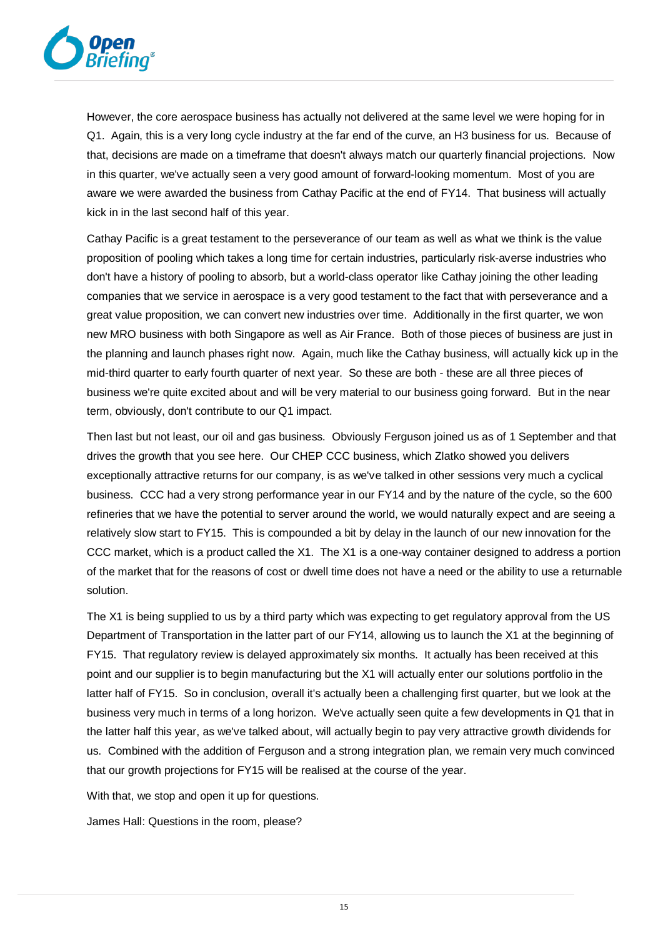

However, the core aerospace business has actually not delivered at the same level we were hoping for in Q1. Again, this is a very long cycle industry at the far end of the curve, an H3 business for us. Because of that, decisions are made on a timeframe that doesn't always match our quarterly financial projections. Now in this quarter, we've actually seen a very good amount of forward-looking momentum. Most of you are aware we were awarded the business from Cathay Pacific at the end of FY14. That business will actually kick in in the last second half of this year.

Cathay Pacific is a great testament to the perseverance of our team as well as what we think is the value proposition of pooling which takes a long time for certain industries, particularly risk-averse industries who don't have a history of pooling to absorb, but a world-class operator like Cathay joining the other leading companies that we service in aerospace is a very good testament to the fact that with perseverance and a great value proposition, we can convert new industries over time. Additionally in the first quarter, we won new MRO business with both Singapore as well as Air France. Both of those pieces of business are just in the planning and launch phases right now. Again, much like the Cathay business, will actually kick up in the mid-third quarter to early fourth quarter of next year. So these are both - these are all three pieces of business we're quite excited about and will be very material to our business going forward. But in the near term, obviously, don't contribute to our Q1 impact.

Then last but not least, our oil and gas business. Obviously Ferguson joined us as of 1 September and that drives the growth that you see here. Our CHEP CCC business, which Zlatko showed you delivers exceptionally attractive returns for our company, is as we've talked in other sessions very much a cyclical business. CCC had a very strong performance year in our FY14 and by the nature of the cycle, so the 600 refineries that we have the potential to server around the world, we would naturally expect and are seeing a relatively slow start to FY15. This is compounded a bit by delay in the launch of our new innovation for the CCC market, which is a product called the X1. The X1 is a one-way container designed to address a portion of the market that for the reasons of cost or dwell time does not have a need or the ability to use a returnable solution.

The X1 is being supplied to us by a third party which was expecting to get regulatory approval from the US Department of Transportation in the latter part of our FY14, allowing us to launch the X1 at the beginning of FY15. That regulatory review is delayed approximately six months. It actually has been received at this point and our supplier is to begin manufacturing but the X1 will actually enter our solutions portfolio in the latter half of FY15. So in conclusion, overall it's actually been a challenging first quarter, but we look at the business very much in terms of a long horizon. We've actually seen quite a few developments in Q1 that in the latter half this year, as we've talked about, will actually begin to pay very attractive growth dividends for us. Combined with the addition of Ferguson and a strong integration plan, we remain very much convinced that our growth projections for FY15 will be realised at the course of the year.

With that, we stop and open it up for questions.

James Hall: Questions in the room, please?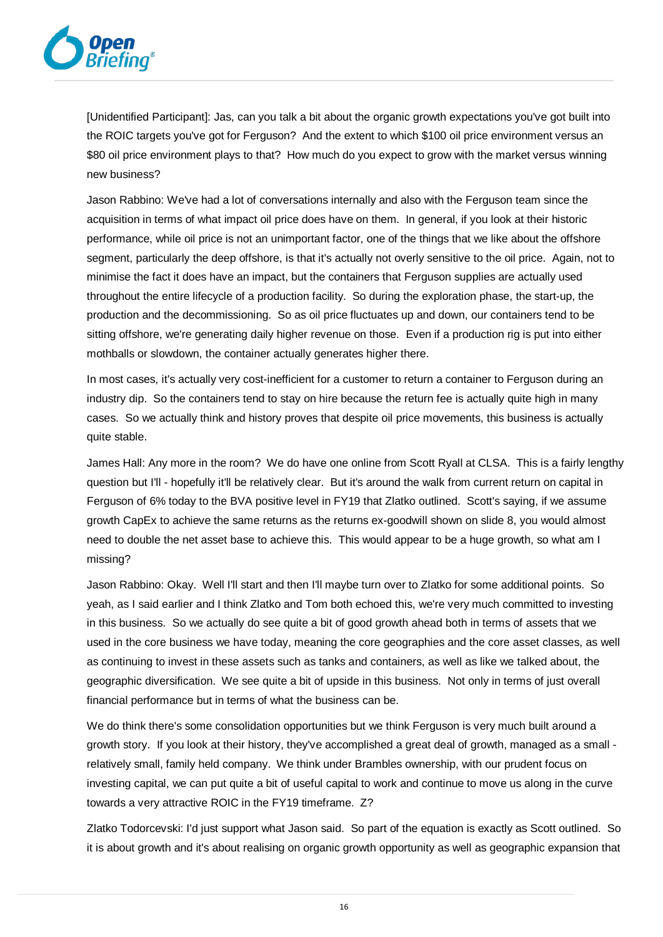

[Unidentified Participant]: Jas, can you talk a bit about the organic growth expectations you've got built into the ROIC targets you've got for Ferguson? And the extent to which \$100 oil price environment versus an \$80 oil price environment plays to that? How much do you expect to grow with the market versus winning new business?

Jason Rabbino: We've had a lot of conversations internally and also with the Ferguson team since the acquisition in terms of what impact oil price does have on them. In general, if you look at their historic performance, while oil price is not an unimportant factor, one of the things that we like about the offshore segment, particularly the deep offshore, is that it's actually not overly sensitive to the oil price. Again, not to minimise the fact it does have an impact, but the containers that Ferguson supplies are actually used throughout the entire lifecycle of a production facility. So during the exploration phase, the start-up, the production and the decommissioning. So as oil price fluctuates up and down, our containers tend to be sitting offshore, we're generating daily higher revenue on those. Even if a production rig is put into either mothballs or slowdown, the container actually generates higher there.

In most cases, it's actually very cost-inefficient for a customer to return a container to Ferguson during an industry dip. So the containers tend to stay on hire because the return fee is actually quite high in many cases. So we actually think and history proves that despite oil price movements, this business is actually quite stable.

James Hall: Any more in the room? We do have one online from Scott Ryall at CLSA. This is a fairly lengthy question but I'll - hopefully it'll be relatively clear. But it's around the walk from current return on capital in Ferguson of 6% today to the BVA positive level in FY19 that Zlatko outlined. Scott's saying, if we assume growth CapEx to achieve the same returns as the returns ex-goodwill shown on slide 8, you would almost need to double the net asset base to achieve this. This would appear to be a huge growth, so what am I missing?

Jason Rabbino: Okay. Well I'll start and then I'll maybe turn over to Zlatko for some additional points. So yeah, as I said earlier and I think Zlatko and Tom both echoed this, we're very much committed to investing in this business. So we actually do see quite a bit of good growth ahead both in terms of assets that we used in the core business we have today, meaning the core geographies and the core asset classes, as well as continuing to invest in these assets such as tanks and containers, as well as like we talked about, the geographic diversification. We see quite a bit of upside in this business. Not only in terms of just overall financial performance but in terms of what the business can be.

We do think there's some consolidation opportunities but we think Ferguson is very much built around a growth story. If you look at their history, they've accomplished a great deal of growth, managed as a small relatively small, family held company. We think under Brambles ownership, with our prudent focus on investing capital, we can put quite a bit of useful capital to work and continue to move us along in the curve towards a very attractive ROIC in the FY19 timeframe. Z?

Zlatko Todorcevski: I'd just support what Jason said. So part of the equation is exactly as Scott outlined. So it is about growth and it's about realising on organic growth opportunity as well as geographic expansion that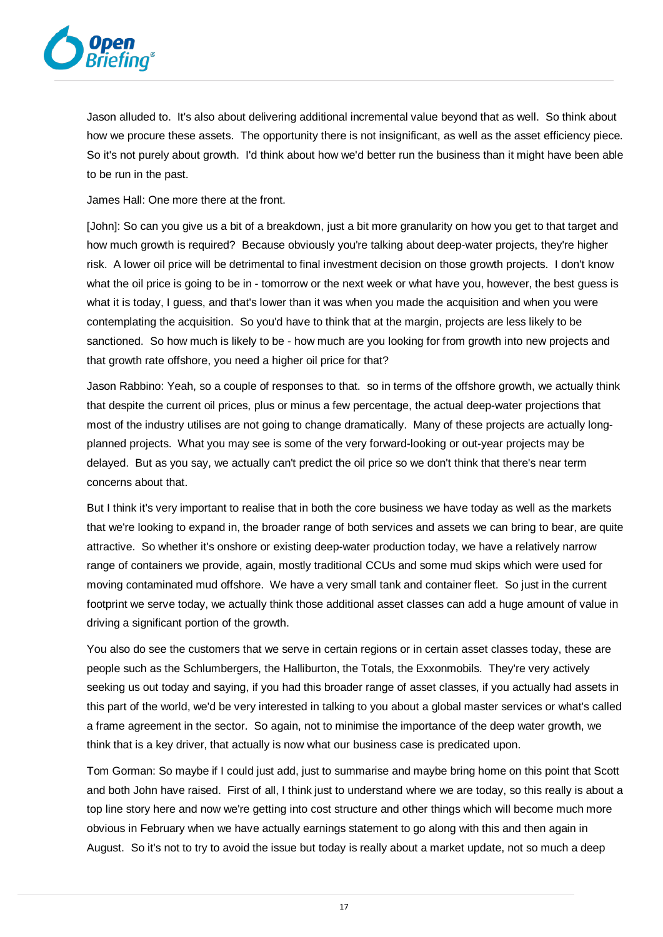

Jason alluded to. It's also about delivering additional incremental value beyond that as well. So think about how we procure these assets. The opportunity there is not insignificant, as well as the asset efficiency piece. So it's not purely about growth. I'd think about how we'd better run the business than it might have been able to be run in the past.

James Hall: One more there at the front.

[John]: So can you give us a bit of a breakdown, just a bit more granularity on how you get to that target and how much growth is required? Because obviously you're talking about deep-water projects, they're higher risk. A lower oil price will be detrimental to final investment decision on those growth projects. I don't know what the oil price is going to be in - tomorrow or the next week or what have you, however, the best guess is what it is today, I guess, and that's lower than it was when you made the acquisition and when you were contemplating the acquisition. So you'd have to think that at the margin, projects are less likely to be sanctioned. So how much is likely to be - how much are you looking for from growth into new projects and that growth rate offshore, you need a higher oil price for that?

Jason Rabbino: Yeah, so a couple of responses to that. so in terms of the offshore growth, we actually think that despite the current oil prices, plus or minus a few percentage, the actual deep-water projections that most of the industry utilises are not going to change dramatically. Many of these projects are actually longplanned projects. What you may see is some of the very forward-looking or out-year projects may be delayed. But as you say, we actually can't predict the oil price so we don't think that there's near term concerns about that.

But I think it's very important to realise that in both the core business we have today as well as the markets that we're looking to expand in, the broader range of both services and assets we can bring to bear, are quite attractive. So whether it's onshore or existing deep-water production today, we have a relatively narrow range of containers we provide, again, mostly traditional CCUs and some mud skips which were used for moving contaminated mud offshore. We have a very small tank and container fleet. So just in the current footprint we serve today, we actually think those additional asset classes can add a huge amount of value in driving a significant portion of the growth.

You also do see the customers that we serve in certain regions or in certain asset classes today, these are people such as the Schlumbergers, the Halliburton, the Totals, the Exxonmobils. They're very actively seeking us out today and saying, if you had this broader range of asset classes, if you actually had assets in this part of the world, we'd be very interested in talking to you about a global master services or what's called a frame agreement in the sector. So again, not to minimise the importance of the deep water growth, we think that is a key driver, that actually is now what our business case is predicated upon.

Tom Gorman: So maybe if I could just add, just to summarise and maybe bring home on this point that Scott and both John have raised. First of all, I think just to understand where we are today, so this really is about a top line story here and now we're getting into cost structure and other things which will become much more obvious in February when we have actually earnings statement to go along with this and then again in August. So it's not to try to avoid the issue but today is really about a market update, not so much a deep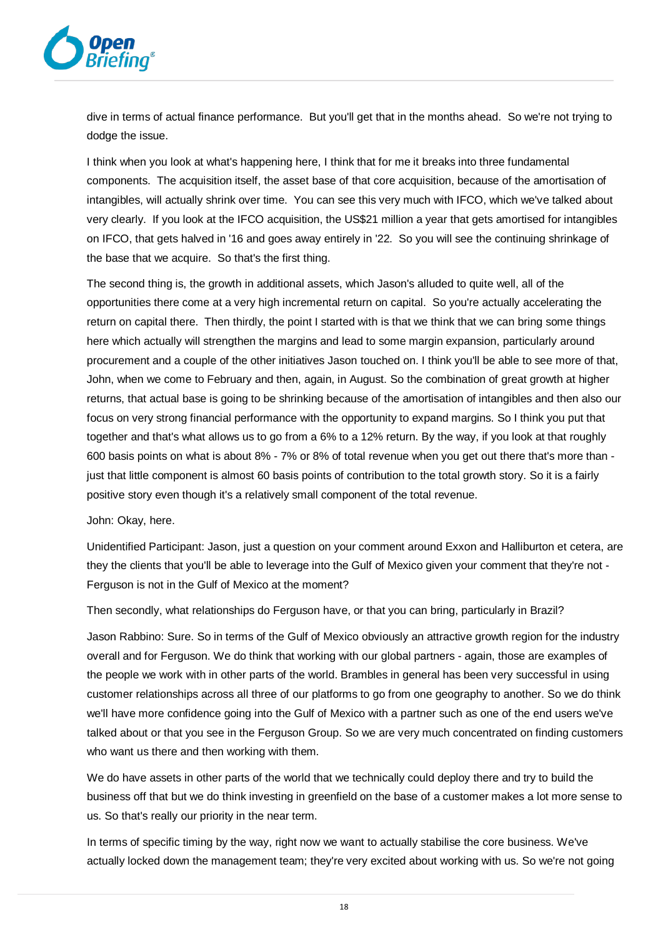

dive in terms of actual finance performance. But you'll get that in the months ahead. So we're not trying to dodge the issue.

I think when you look at what's happening here, I think that for me it breaks into three fundamental components. The acquisition itself, the asset base of that core acquisition, because of the amortisation of intangibles, will actually shrink over time. You can see this very much with IFCO, which we've talked about very clearly. If you look at the IFCO acquisition, the US\$21 million a year that gets amortised for intangibles on IFCO, that gets halved in '16 and goes away entirely in '22. So you will see the continuing shrinkage of the base that we acquire. So that's the first thing.

The second thing is, the growth in additional assets, which Jason's alluded to quite well, all of the opportunities there come at a very high incremental return on capital. So you're actually accelerating the return on capital there. Then thirdly, the point I started with is that we think that we can bring some things here which actually will strengthen the margins and lead to some margin expansion, particularly around procurement and a couple of the other initiatives Jason touched on. I think you'll be able to see more of that, John, when we come to February and then, again, in August. So the combination of great growth at higher returns, that actual base is going to be shrinking because of the amortisation of intangibles and then also our focus on very strong financial performance with the opportunity to expand margins. So I think you put that together and that's what allows us to go from a 6% to a 12% return. By the way, if you look at that roughly 600 basis points on what is about 8% - 7% or 8% of total revenue when you get out there that's more than just that little component is almost 60 basis points of contribution to the total growth story. So it is a fairly positive story even though it's a relatively small component of the total revenue.

John: Okay, here.

Unidentified Participant: Jason, just a question on your comment around Exxon and Halliburton et cetera, are they the clients that you'll be able to leverage into the Gulf of Mexico given your comment that they're not - Ferguson is not in the Gulf of Mexico at the moment?

Then secondly, what relationships do Ferguson have, or that you can bring, particularly in Brazil?

Jason Rabbino: Sure. So in terms of the Gulf of Mexico obviously an attractive growth region for the industry overall and for Ferguson. We do think that working with our global partners - again, those are examples of the people we work with in other parts of the world. Brambles in general has been very successful in using customer relationships across all three of our platforms to go from one geography to another. So we do think we'll have more confidence going into the Gulf of Mexico with a partner such as one of the end users we've talked about or that you see in the Ferguson Group. So we are very much concentrated on finding customers who want us there and then working with them.

We do have assets in other parts of the world that we technically could deploy there and try to build the business off that but we do think investing in greenfield on the base of a customer makes a lot more sense to us. So that's really our priority in the near term.

In terms of specific timing by the way, right now we want to actually stabilise the core business. We've actually locked down the management team; they're very excited about working with us. So we're not going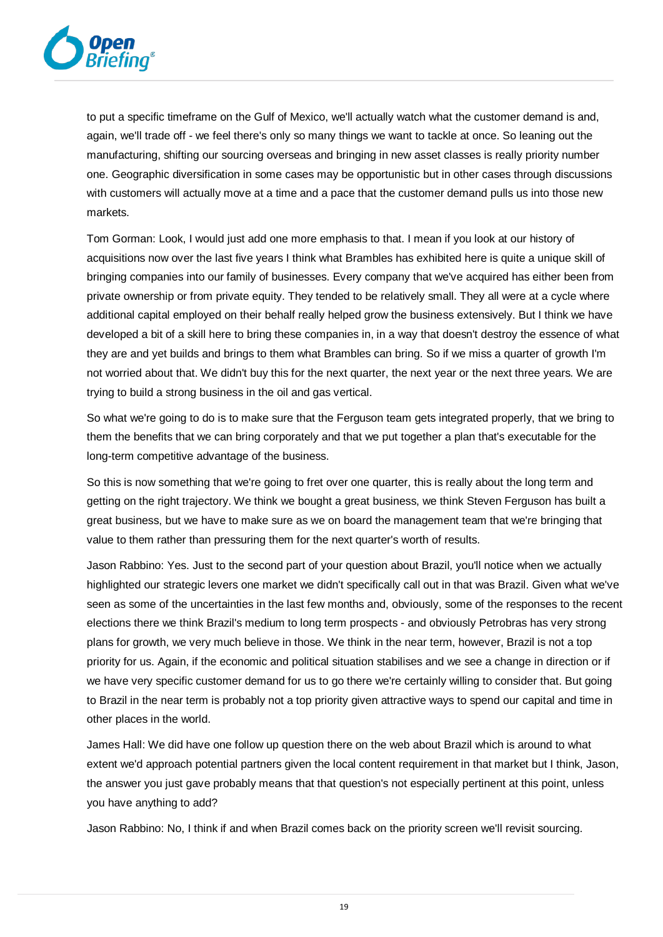

to put a specific timeframe on the Gulf of Mexico, we'll actually watch what the customer demand is and, again, we'll trade off - we feel there's only so many things we want to tackle at once. So leaning out the manufacturing, shifting our sourcing overseas and bringing in new asset classes is really priority number one. Geographic diversification in some cases may be opportunistic but in other cases through discussions with customers will actually move at a time and a pace that the customer demand pulls us into those new markets.

Tom Gorman: Look, I would just add one more emphasis to that. I mean if you look at our history of acquisitions now over the last five years I think what Brambles has exhibited here is quite a unique skill of bringing companies into our family of businesses. Every company that we've acquired has either been from private ownership or from private equity. They tended to be relatively small. They all were at a cycle where additional capital employed on their behalf really helped grow the business extensively. But I think we have developed a bit of a skill here to bring these companies in, in a way that doesn't destroy the essence of what they are and yet builds and brings to them what Brambles can bring. So if we miss a quarter of growth I'm not worried about that. We didn't buy this for the next quarter, the next year or the next three years. We are trying to build a strong business in the oil and gas vertical.

So what we're going to do is to make sure that the Ferguson team gets integrated properly, that we bring to them the benefits that we can bring corporately and that we put together a plan that's executable for the long-term competitive advantage of the business.

So this is now something that we're going to fret over one quarter, this is really about the long term and getting on the right trajectory. We think we bought a great business, we think Steven Ferguson has built a great business, but we have to make sure as we on board the management team that we're bringing that value to them rather than pressuring them for the next quarter's worth of results.

Jason Rabbino: Yes. Just to the second part of your question about Brazil, you'll notice when we actually highlighted our strategic levers one market we didn't specifically call out in that was Brazil. Given what we've seen as some of the uncertainties in the last few months and, obviously, some of the responses to the recent elections there we think Brazil's medium to long term prospects - and obviously Petrobras has very strong plans for growth, we very much believe in those. We think in the near term, however, Brazil is not a top priority for us. Again, if the economic and political situation stabilises and we see a change in direction or if we have very specific customer demand for us to go there we're certainly willing to consider that. But going to Brazil in the near term is probably not a top priority given attractive ways to spend our capital and time in other places in the world.

James Hall: We did have one follow up question there on the web about Brazil which is around to what extent we'd approach potential partners given the local content requirement in that market but I think, Jason, the answer you just gave probably means that that question's not especially pertinent at this point, unless you have anything to add?

Jason Rabbino: No, I think if and when Brazil comes back on the priority screen we'll revisit sourcing.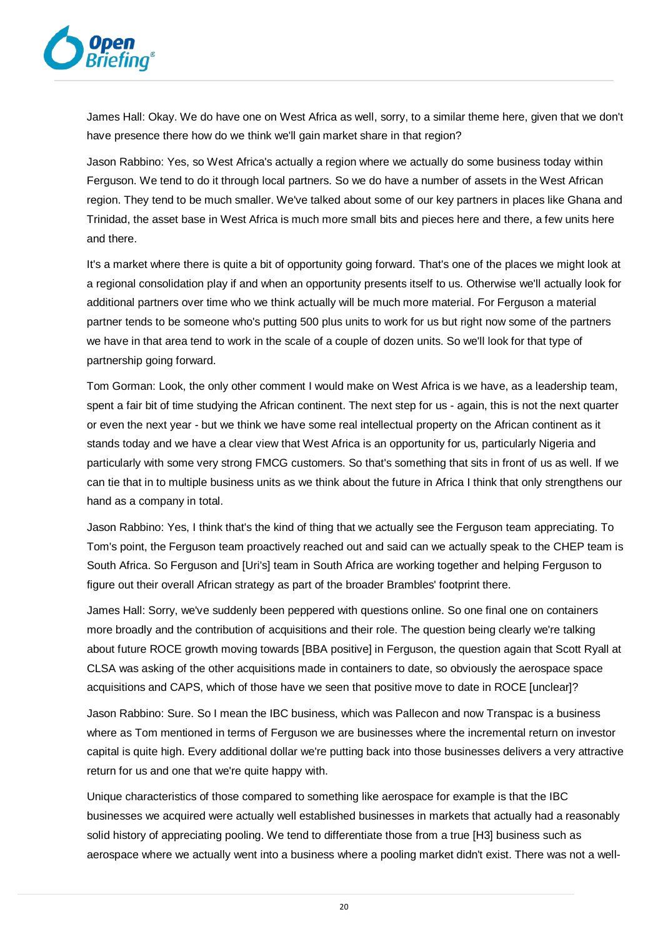

James Hall: Okay. We do have one on West Africa as well, sorry, to a similar theme here, given that we don't have presence there how do we think we'll gain market share in that region?

Jason Rabbino: Yes, so West Africa's actually a region where we actually do some business today within Ferguson. We tend to do it through local partners. So we do have a number of assets in the West African region. They tend to be much smaller. We've talked about some of our key partners in places like Ghana and Trinidad, the asset base in West Africa is much more small bits and pieces here and there, a few units here and there.

It's a market where there is quite a bit of opportunity going forward. That's one of the places we might look at a regional consolidation play if and when an opportunity presents itself to us. Otherwise we'll actually look for additional partners over time who we think actually will be much more material. For Ferguson a material partner tends to be someone who's putting 500 plus units to work for us but right now some of the partners we have in that area tend to work in the scale of a couple of dozen units. So we'll look for that type of partnership going forward.

Tom Gorman: Look, the only other comment I would make on West Africa is we have, as a leadership team, spent a fair bit of time studying the African continent. The next step for us - again, this is not the next quarter or even the next year - but we think we have some real intellectual property on the African continent as it stands today and we have a clear view that West Africa is an opportunity for us, particularly Nigeria and particularly with some very strong FMCG customers. So that's something that sits in front of us as well. If we can tie that in to multiple business units as we think about the future in Africa I think that only strengthens our hand as a company in total.

Jason Rabbino: Yes, I think that's the kind of thing that we actually see the Ferguson team appreciating. To Tom's point, the Ferguson team proactively reached out and said can we actually speak to the CHEP team is South Africa. So Ferguson and [Uri's] team in South Africa are working together and helping Ferguson to figure out their overall African strategy as part of the broader Brambles' footprint there.

James Hall: Sorry, we've suddenly been peppered with questions online. So one final one on containers more broadly and the contribution of acquisitions and their role. The question being clearly we're talking about future ROCE growth moving towards [BBA positive] in Ferguson, the question again that Scott Ryall at CLSA was asking of the other acquisitions made in containers to date, so obviously the aerospace space acquisitions and CAPS, which of those have we seen that positive move to date in ROCE [unclear]?

Jason Rabbino: Sure. So I mean the IBC business, which was Pallecon and now Transpac is a business where as Tom mentioned in terms of Ferguson we are businesses where the incremental return on investor capital is quite high. Every additional dollar we're putting back into those businesses delivers a very attractive return for us and one that we're quite happy with.

Unique characteristics of those compared to something like aerospace for example is that the IBC businesses we acquired were actually well established businesses in markets that actually had a reasonably solid history of appreciating pooling. We tend to differentiate those from a true [H3] business such as aerospace where we actually went into a business where a pooling market didn't exist. There was not a well-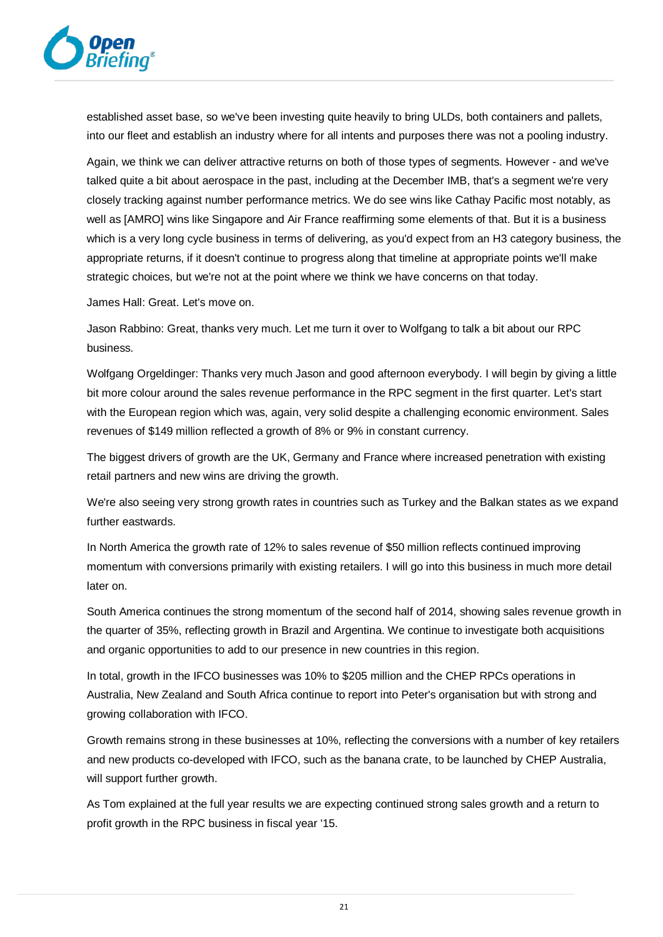

established asset base, so we've been investing quite heavily to bring ULDs, both containers and pallets, into our fleet and establish an industry where for all intents and purposes there was not a pooling industry.

Again, we think we can deliver attractive returns on both of those types of segments. However - and we've talked quite a bit about aerospace in the past, including at the December IMB, that's a segment we're very closely tracking against number performance metrics. We do see wins like Cathay Pacific most notably, as well as [AMRO] wins like Singapore and Air France reaffirming some elements of that. But it is a business which is a very long cycle business in terms of delivering, as you'd expect from an H3 category business, the appropriate returns, if it doesn't continue to progress along that timeline at appropriate points we'll make strategic choices, but we're not at the point where we think we have concerns on that today.

James Hall: Great. Let's move on.

Jason Rabbino: Great, thanks very much. Let me turn it over to Wolfgang to talk a bit about our RPC business.

Wolfgang Orgeldinger: Thanks very much Jason and good afternoon everybody. I will begin by giving a little bit more colour around the sales revenue performance in the RPC segment in the first quarter. Let's start with the European region which was, again, very solid despite a challenging economic environment. Sales revenues of \$149 million reflected a growth of 8% or 9% in constant currency.

The biggest drivers of growth are the UK, Germany and France where increased penetration with existing retail partners and new wins are driving the growth.

We're also seeing very strong growth rates in countries such as Turkey and the Balkan states as we expand further eastwards.

In North America the growth rate of 12% to sales revenue of \$50 million reflects continued improving momentum with conversions primarily with existing retailers. I will go into this business in much more detail later on.

South America continues the strong momentum of the second half of 2014, showing sales revenue growth in the quarter of 35%, reflecting growth in Brazil and Argentina. We continue to investigate both acquisitions and organic opportunities to add to our presence in new countries in this region.

In total, growth in the IFCO businesses was 10% to \$205 million and the CHEP RPCs operations in Australia, New Zealand and South Africa continue to report into Peter's organisation but with strong and growing collaboration with IFCO.

Growth remains strong in these businesses at 10%, reflecting the conversions with a number of key retailers and new products co-developed with IFCO, such as the banana crate, to be launched by CHEP Australia, will support further growth.

As Tom explained at the full year results we are expecting continued strong sales growth and a return to profit growth in the RPC business in fiscal year '15.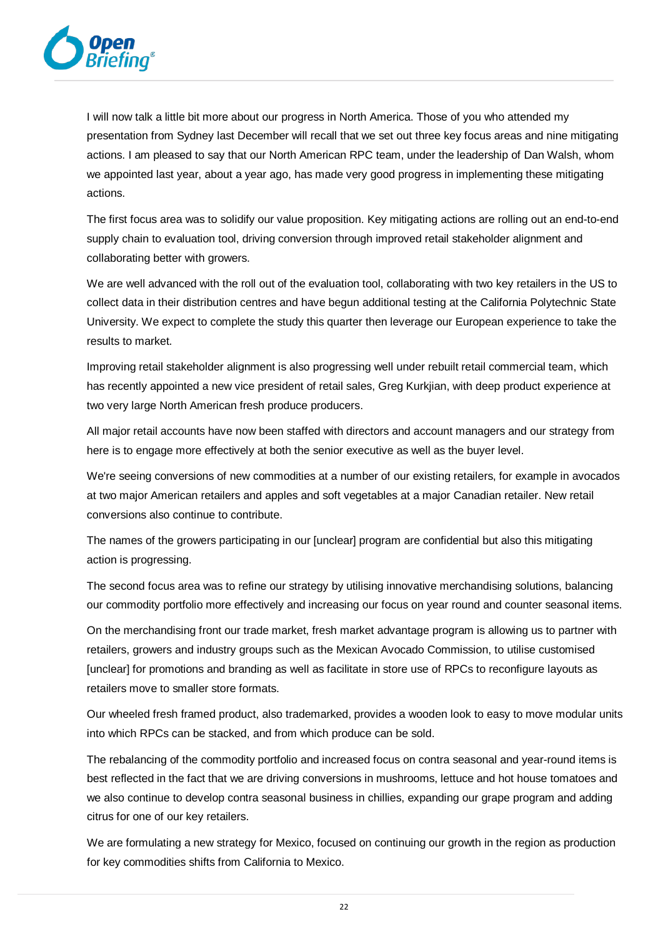

I will now talk a little bit more about our progress in North America. Those of you who attended my presentation from Sydney last December will recall that we set out three key focus areas and nine mitigating actions. I am pleased to say that our North American RPC team, under the leadership of Dan Walsh, whom we appointed last year, about a year ago, has made very good progress in implementing these mitigating actions.

The first focus area was to solidify our value proposition. Key mitigating actions are rolling out an end-to-end supply chain to evaluation tool, driving conversion through improved retail stakeholder alignment and collaborating better with growers.

We are well advanced with the roll out of the evaluation tool, collaborating with two key retailers in the US to collect data in their distribution centres and have begun additional testing at the California Polytechnic State University. We expect to complete the study this quarter then leverage our European experience to take the results to market.

Improving retail stakeholder alignment is also progressing well under rebuilt retail commercial team, which has recently appointed a new vice president of retail sales, Greg Kurkjian, with deep product experience at two very large North American fresh produce producers.

All major retail accounts have now been staffed with directors and account managers and our strategy from here is to engage more effectively at both the senior executive as well as the buyer level.

We're seeing conversions of new commodities at a number of our existing retailers, for example in avocados at two major American retailers and apples and soft vegetables at a major Canadian retailer. New retail conversions also continue to contribute.

The names of the growers participating in our [unclear] program are confidential but also this mitigating action is progressing.

The second focus area was to refine our strategy by utilising innovative merchandising solutions, balancing our commodity portfolio more effectively and increasing our focus on year round and counter seasonal items.

On the merchandising front our trade market, fresh market advantage program is allowing us to partner with retailers, growers and industry groups such as the Mexican Avocado Commission, to utilise customised [unclear] for promotions and branding as well as facilitate in store use of RPCs to reconfigure layouts as retailers move to smaller store formats.

Our wheeled fresh framed product, also trademarked, provides a wooden look to easy to move modular units into which RPCs can be stacked, and from which produce can be sold.

The rebalancing of the commodity portfolio and increased focus on contra seasonal and year-round items is best reflected in the fact that we are driving conversions in mushrooms, lettuce and hot house tomatoes and we also continue to develop contra seasonal business in chillies, expanding our grape program and adding citrus for one of our key retailers.

We are formulating a new strategy for Mexico, focused on continuing our growth in the region as production for key commodities shifts from California to Mexico.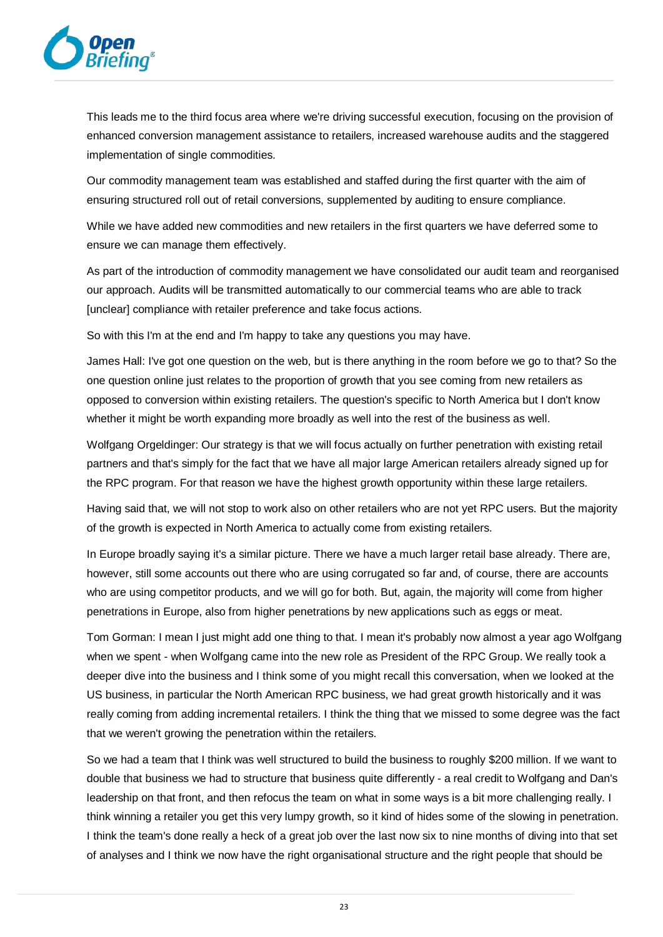

This leads me to the third focus area where we're driving successful execution, focusing on the provision of enhanced conversion management assistance to retailers, increased warehouse audits and the staggered implementation of single commodities.

Our commodity management team was established and staffed during the first quarter with the aim of ensuring structured roll out of retail conversions, supplemented by auditing to ensure compliance.

While we have added new commodities and new retailers in the first quarters we have deferred some to ensure we can manage them effectively.

As part of the introduction of commodity management we have consolidated our audit team and reorganised our approach. Audits will be transmitted automatically to our commercial teams who are able to track [unclear] compliance with retailer preference and take focus actions.

So with this I'm at the end and I'm happy to take any questions you may have.

James Hall: I've got one question on the web, but is there anything in the room before we go to that? So the one question online just relates to the proportion of growth that you see coming from new retailers as opposed to conversion within existing retailers. The question's specific to North America but I don't know whether it might be worth expanding more broadly as well into the rest of the business as well.

Wolfgang Orgeldinger: Our strategy is that we will focus actually on further penetration with existing retail partners and that's simply for the fact that we have all major large American retailers already signed up for the RPC program. For that reason we have the highest growth opportunity within these large retailers.

Having said that, we will not stop to work also on other retailers who are not yet RPC users. But the majority of the growth is expected in North America to actually come from existing retailers.

In Europe broadly saying it's a similar picture. There we have a much larger retail base already. There are, however, still some accounts out there who are using corrugated so far and, of course, there are accounts who are using competitor products, and we will go for both. But, again, the majority will come from higher penetrations in Europe, also from higher penetrations by new applications such as eggs or meat.

Tom Gorman: I mean I just might add one thing to that. I mean it's probably now almost a year ago Wolfgang when we spent - when Wolfgang came into the new role as President of the RPC Group. We really took a deeper dive into the business and I think some of you might recall this conversation, when we looked at the US business, in particular the North American RPC business, we had great growth historically and it was really coming from adding incremental retailers. I think the thing that we missed to some degree was the fact that we weren't growing the penetration within the retailers.

So we had a team that I think was well structured to build the business to roughly \$200 million. If we want to double that business we had to structure that business quite differently - a real credit to Wolfgang and Dan's leadership on that front, and then refocus the team on what in some ways is a bit more challenging really. I think winning a retailer you get this very lumpy growth, so it kind of hides some of the slowing in penetration. I think the team's done really a heck of a great job over the last now six to nine months of diving into that set of analyses and I think we now have the right organisational structure and the right people that should be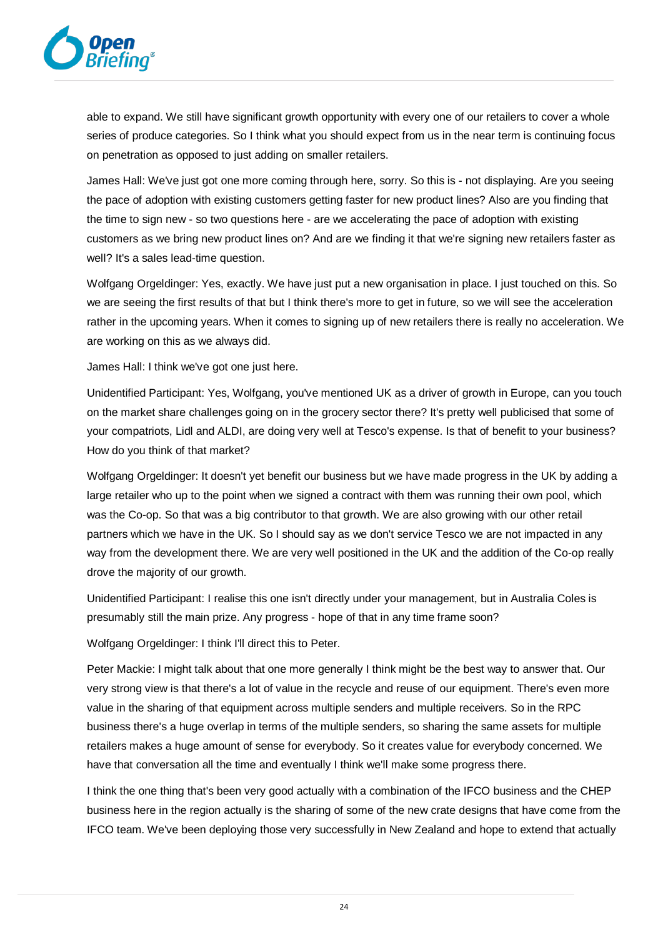

able to expand. We still have significant growth opportunity with every one of our retailers to cover a whole series of produce categories. So I think what you should expect from us in the near term is continuing focus on penetration as opposed to just adding on smaller retailers.

James Hall: We've just got one more coming through here, sorry. So this is - not displaying. Are you seeing the pace of adoption with existing customers getting faster for new product lines? Also are you finding that the time to sign new - so two questions here - are we accelerating the pace of adoption with existing customers as we bring new product lines on? And are we finding it that we're signing new retailers faster as well? It's a sales lead-time question.

Wolfgang Orgeldinger: Yes, exactly. We have just put a new organisation in place. I just touched on this. So we are seeing the first results of that but I think there's more to get in future, so we will see the acceleration rather in the upcoming years. When it comes to signing up of new retailers there is really no acceleration. We are working on this as we always did.

James Hall: I think we've got one just here.

Unidentified Participant: Yes, Wolfgang, you've mentioned UK as a driver of growth in Europe, can you touch on the market share challenges going on in the grocery sector there? It's pretty well publicised that some of your compatriots, Lidl and ALDI, are doing very well at Tesco's expense. Is that of benefit to your business? How do you think of that market?

Wolfgang Orgeldinger: It doesn't yet benefit our business but we have made progress in the UK by adding a large retailer who up to the point when we signed a contract with them was running their own pool, which was the Co-op. So that was a big contributor to that growth. We are also growing with our other retail partners which we have in the UK. So I should say as we don't service Tesco we are not impacted in any way from the development there. We are very well positioned in the UK and the addition of the Co-op really drove the majority of our growth.

Unidentified Participant: I realise this one isn't directly under your management, but in Australia Coles is presumably still the main prize. Any progress - hope of that in any time frame soon?

Wolfgang Orgeldinger: I think I'll direct this to Peter.

Peter Mackie: I might talk about that one more generally I think might be the best way to answer that. Our very strong view is that there's a lot of value in the recycle and reuse of our equipment. There's even more value in the sharing of that equipment across multiple senders and multiple receivers. So in the RPC business there's a huge overlap in terms of the multiple senders, so sharing the same assets for multiple retailers makes a huge amount of sense for everybody. So it creates value for everybody concerned. We have that conversation all the time and eventually I think we'll make some progress there.

I think the one thing that's been very good actually with a combination of the IFCO business and the CHEP business here in the region actually is the sharing of some of the new crate designs that have come from the IFCO team. We've been deploying those very successfully in New Zealand and hope to extend that actually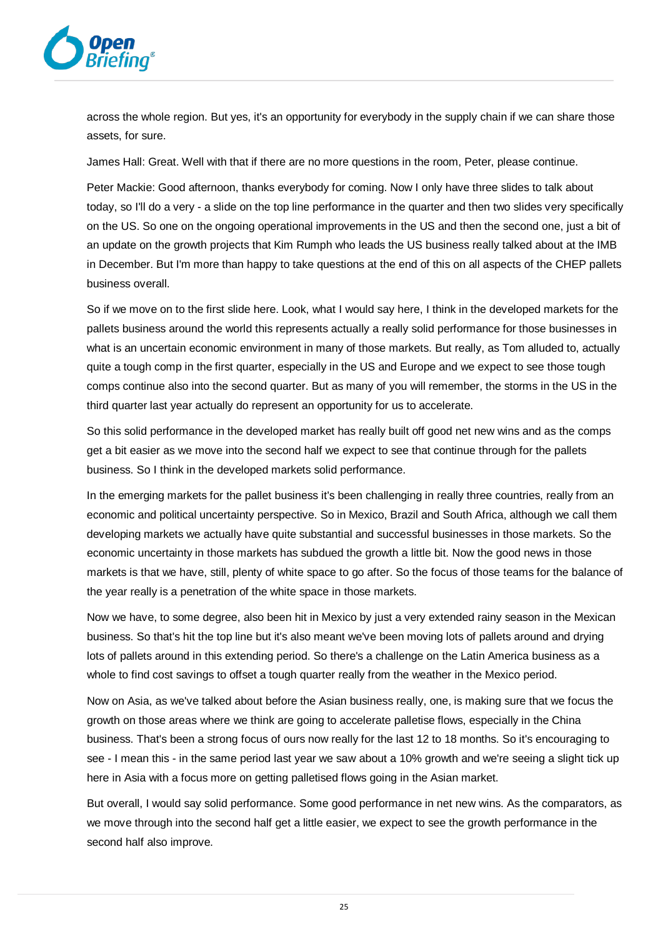

across the whole region. But yes, it's an opportunity for everybody in the supply chain if we can share those assets, for sure.

James Hall: Great. Well with that if there are no more questions in the room, Peter, please continue.

Peter Mackie: Good afternoon, thanks everybody for coming. Now I only have three slides to talk about today, so I'll do a very - a slide on the top line performance in the quarter and then two slides very specifically on the US. So one on the ongoing operational improvements in the US and then the second one, just a bit of an update on the growth projects that Kim Rumph who leads the US business really talked about at the IMB in December. But I'm more than happy to take questions at the end of this on all aspects of the CHEP pallets business overall.

So if we move on to the first slide here. Look, what I would say here, I think in the developed markets for the pallets business around the world this represents actually a really solid performance for those businesses in what is an uncertain economic environment in many of those markets. But really, as Tom alluded to, actually quite a tough comp in the first quarter, especially in the US and Europe and we expect to see those tough comps continue also into the second quarter. But as many of you will remember, the storms in the US in the third quarter last year actually do represent an opportunity for us to accelerate.

So this solid performance in the developed market has really built off good net new wins and as the comps get a bit easier as we move into the second half we expect to see that continue through for the pallets business. So I think in the developed markets solid performance.

In the emerging markets for the pallet business it's been challenging in really three countries, really from an economic and political uncertainty perspective. So in Mexico, Brazil and South Africa, although we call them developing markets we actually have quite substantial and successful businesses in those markets. So the economic uncertainty in those markets has subdued the growth a little bit. Now the good news in those markets is that we have, still, plenty of white space to go after. So the focus of those teams for the balance of the year really is a penetration of the white space in those markets.

Now we have, to some degree, also been hit in Mexico by just a very extended rainy season in the Mexican business. So that's hit the top line but it's also meant we've been moving lots of pallets around and drying lots of pallets around in this extending period. So there's a challenge on the Latin America business as a whole to find cost savings to offset a tough quarter really from the weather in the Mexico period.

Now on Asia, as we've talked about before the Asian business really, one, is making sure that we focus the growth on those areas where we think are going to accelerate palletise flows, especially in the China business. That's been a strong focus of ours now really for the last 12 to 18 months. So it's encouraging to see - I mean this - in the same period last year we saw about a 10% growth and we're seeing a slight tick up here in Asia with a focus more on getting palletised flows going in the Asian market.

But overall, I would say solid performance. Some good performance in net new wins. As the comparators, as we move through into the second half get a little easier, we expect to see the growth performance in the second half also improve.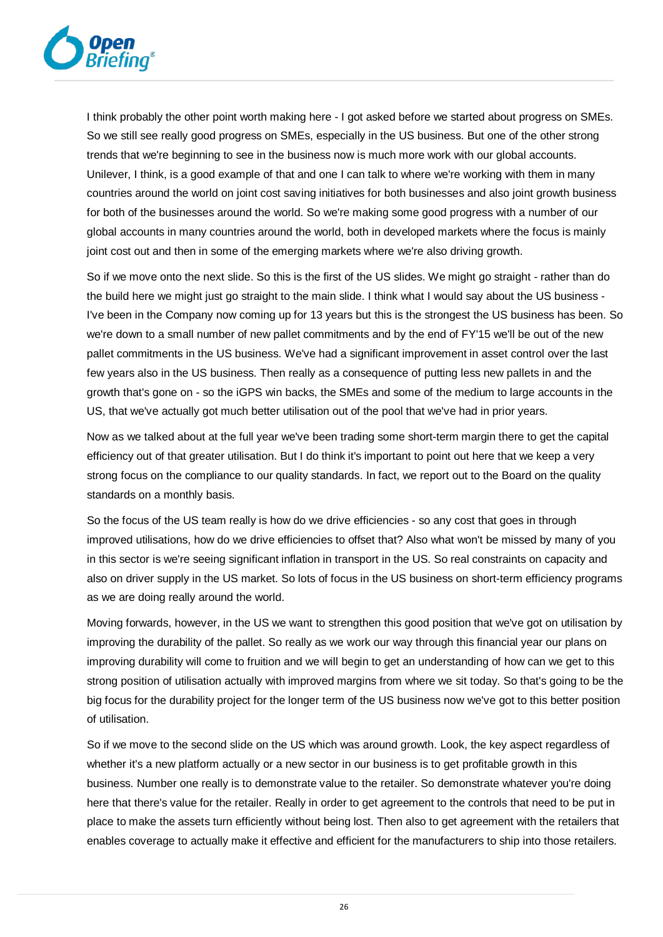

I think probably the other point worth making here - I got asked before we started about progress on SMEs. So we still see really good progress on SMEs, especially in the US business. But one of the other strong trends that we're beginning to see in the business now is much more work with our global accounts. Unilever, I think, is a good example of that and one I can talk to where we're working with them in many countries around the world on joint cost saving initiatives for both businesses and also joint growth business for both of the businesses around the world. So we're making some good progress with a number of our global accounts in many countries around the world, both in developed markets where the focus is mainly joint cost out and then in some of the emerging markets where we're also driving growth.

So if we move onto the next slide. So this is the first of the US slides. We might go straight - rather than do the build here we might just go straight to the main slide. I think what I would say about the US business - I've been in the Company now coming up for 13 years but this is the strongest the US business has been. So we're down to a small number of new pallet commitments and by the end of FY'15 we'll be out of the new pallet commitments in the US business. We've had a significant improvement in asset control over the last few years also in the US business. Then really as a consequence of putting less new pallets in and the growth that's gone on - so the iGPS win backs, the SMEs and some of the medium to large accounts in the US, that we've actually got much better utilisation out of the pool that we've had in prior years.

Now as we talked about at the full year we've been trading some short-term margin there to get the capital efficiency out of that greater utilisation. But I do think it's important to point out here that we keep a very strong focus on the compliance to our quality standards. In fact, we report out to the Board on the quality standards on a monthly basis.

So the focus of the US team really is how do we drive efficiencies - so any cost that goes in through improved utilisations, how do we drive efficiencies to offset that? Also what won't be missed by many of you in this sector is we're seeing significant inflation in transport in the US. So real constraints on capacity and also on driver supply in the US market. So lots of focus in the US business on short-term efficiency programs as we are doing really around the world.

Moving forwards, however, in the US we want to strengthen this good position that we've got on utilisation by improving the durability of the pallet. So really as we work our way through this financial year our plans on improving durability will come to fruition and we will begin to get an understanding of how can we get to this strong position of utilisation actually with improved margins from where we sit today. So that's going to be the big focus for the durability project for the longer term of the US business now we've got to this better position of utilisation.

So if we move to the second slide on the US which was around growth. Look, the key aspect regardless of whether it's a new platform actually or a new sector in our business is to get profitable growth in this business. Number one really is to demonstrate value to the retailer. So demonstrate whatever you're doing here that there's value for the retailer. Really in order to get agreement to the controls that need to be put in place to make the assets turn efficiently without being lost. Then also to get agreement with the retailers that enables coverage to actually make it effective and efficient for the manufacturers to ship into those retailers.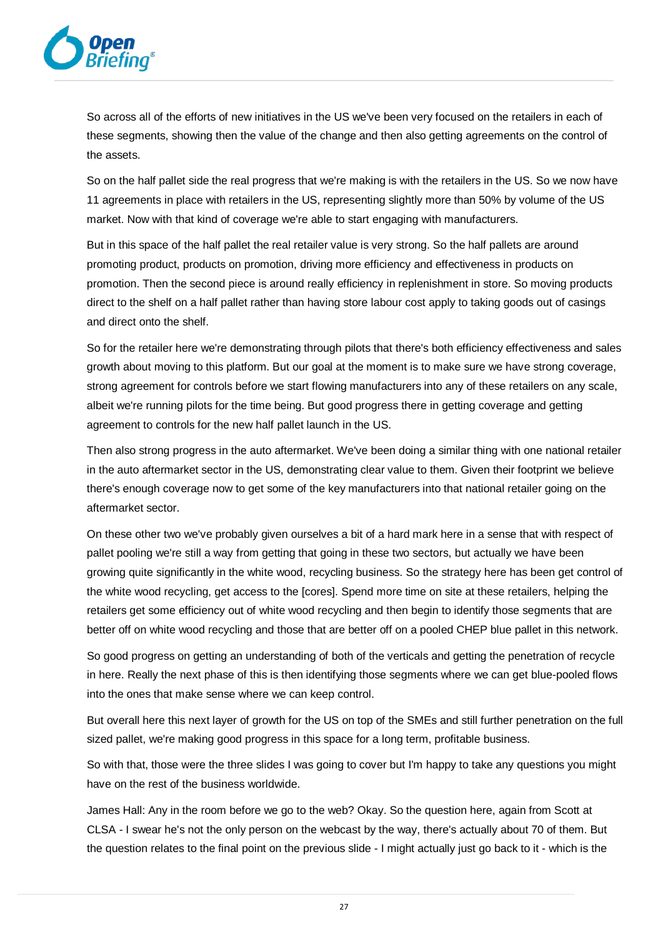

So across all of the efforts of new initiatives in the US we've been very focused on the retailers in each of these segments, showing then the value of the change and then also getting agreements on the control of the assets.

So on the half pallet side the real progress that we're making is with the retailers in the US. So we now have 11 agreements in place with retailers in the US, representing slightly more than 50% by volume of the US market. Now with that kind of coverage we're able to start engaging with manufacturers.

But in this space of the half pallet the real retailer value is very strong. So the half pallets are around promoting product, products on promotion, driving more efficiency and effectiveness in products on promotion. Then the second piece is around really efficiency in replenishment in store. So moving products direct to the shelf on a half pallet rather than having store labour cost apply to taking goods out of casings and direct onto the shelf.

So for the retailer here we're demonstrating through pilots that there's both efficiency effectiveness and sales growth about moving to this platform. But our goal at the moment is to make sure we have strong coverage, strong agreement for controls before we start flowing manufacturers into any of these retailers on any scale, albeit we're running pilots for the time being. But good progress there in getting coverage and getting agreement to controls for the new half pallet launch in the US.

Then also strong progress in the auto aftermarket. We've been doing a similar thing with one national retailer in the auto aftermarket sector in the US, demonstrating clear value to them. Given their footprint we believe there's enough coverage now to get some of the key manufacturers into that national retailer going on the aftermarket sector.

On these other two we've probably given ourselves a bit of a hard mark here in a sense that with respect of pallet pooling we're still a way from getting that going in these two sectors, but actually we have been growing quite significantly in the white wood, recycling business. So the strategy here has been get control of the white wood recycling, get access to the [cores]. Spend more time on site at these retailers, helping the retailers get some efficiency out of white wood recycling and then begin to identify those segments that are better off on white wood recycling and those that are better off on a pooled CHEP blue pallet in this network.

So good progress on getting an understanding of both of the verticals and getting the penetration of recycle in here. Really the next phase of this is then identifying those segments where we can get blue-pooled flows into the ones that make sense where we can keep control.

But overall here this next layer of growth for the US on top of the SMEs and still further penetration on the full sized pallet, we're making good progress in this space for a long term, profitable business.

So with that, those were the three slides I was going to cover but I'm happy to take any questions you might have on the rest of the business worldwide.

James Hall: Any in the room before we go to the web? Okay. So the question here, again from Scott at CLSA - I swear he's not the only person on the webcast by the way, there's actually about 70 of them. But the question relates to the final point on the previous slide - I might actually just go back to it - which is the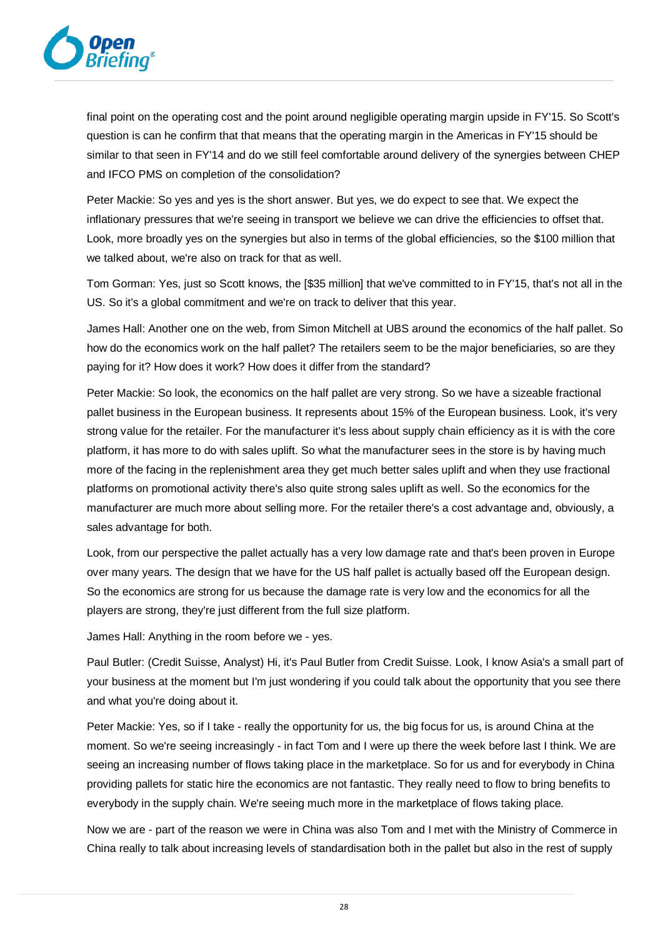

final point on the operating cost and the point around negligible operating margin upside in FY'15. So Scott's question is can he confirm that that means that the operating margin in the Americas in FY'15 should be similar to that seen in FY'14 and do we still feel comfortable around delivery of the synergies between CHEP and IFCO PMS on completion of the consolidation?

Peter Mackie: So yes and yes is the short answer. But yes, we do expect to see that. We expect the inflationary pressures that we're seeing in transport we believe we can drive the efficiencies to offset that. Look, more broadly yes on the synergies but also in terms of the global efficiencies, so the \$100 million that we talked about, we're also on track for that as well.

Tom Gorman: Yes, just so Scott knows, the [\$35 million] that we've committed to in FY'15, that's not all in the US. So it's a global commitment and we're on track to deliver that this year.

James Hall: Another one on the web, from Simon Mitchell at UBS around the economics of the half pallet. So how do the economics work on the half pallet? The retailers seem to be the major beneficiaries, so are they paying for it? How does it work? How does it differ from the standard?

Peter Mackie: So look, the economics on the half pallet are very strong. So we have a sizeable fractional pallet business in the European business. It represents about 15% of the European business. Look, it's very strong value for the retailer. For the manufacturer it's less about supply chain efficiency as it is with the core platform, it has more to do with sales uplift. So what the manufacturer sees in the store is by having much more of the facing in the replenishment area they get much better sales uplift and when they use fractional platforms on promotional activity there's also quite strong sales uplift as well. So the economics for the manufacturer are much more about selling more. For the retailer there's a cost advantage and, obviously, a sales advantage for both.

Look, from our perspective the pallet actually has a very low damage rate and that's been proven in Europe over many years. The design that we have for the US half pallet is actually based off the European design. So the economics are strong for us because the damage rate is very low and the economics for all the players are strong, they're just different from the full size platform.

James Hall: Anything in the room before we - yes.

Paul Butler: (Credit Suisse, Analyst) Hi, it's Paul Butler from Credit Suisse. Look, I know Asia's a small part of your business at the moment but I'm just wondering if you could talk about the opportunity that you see there and what you're doing about it.

Peter Mackie: Yes, so if I take - really the opportunity for us, the big focus for us, is around China at the moment. So we're seeing increasingly - in fact Tom and I were up there the week before last I think. We are seeing an increasing number of flows taking place in the marketplace. So for us and for everybody in China providing pallets for static hire the economics are not fantastic. They really need to flow to bring benefits to everybody in the supply chain. We're seeing much more in the marketplace of flows taking place.

Now we are - part of the reason we were in China was also Tom and I met with the Ministry of Commerce in China really to talk about increasing levels of standardisation both in the pallet but also in the rest of supply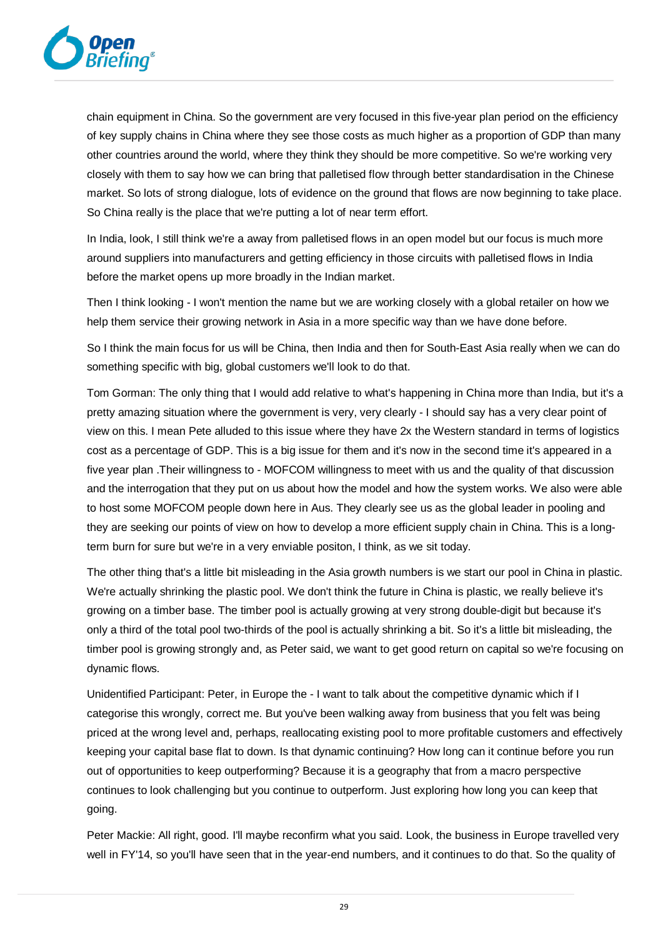

chain equipment in China. So the government are very focused in this five-year plan period on the efficiency of key supply chains in China where they see those costs as much higher as a proportion of GDP than many other countries around the world, where they think they should be more competitive. So we're working very closely with them to say how we can bring that palletised flow through better standardisation in the Chinese market. So lots of strong dialogue, lots of evidence on the ground that flows are now beginning to take place. So China really is the place that we're putting a lot of near term effort.

In India, look, I still think we're a away from palletised flows in an open model but our focus is much more around suppliers into manufacturers and getting efficiency in those circuits with palletised flows in India before the market opens up more broadly in the Indian market.

Then I think looking - I won't mention the name but we are working closely with a global retailer on how we help them service their growing network in Asia in a more specific way than we have done before.

So I think the main focus for us will be China, then India and then for South-East Asia really when we can do something specific with big, global customers we'll look to do that.

Tom Gorman: The only thing that I would add relative to what's happening in China more than India, but it's a pretty amazing situation where the government is very, very clearly - I should say has a very clear point of view on this. I mean Pete alluded to this issue where they have 2x the Western standard in terms of logistics cost as a percentage of GDP. This is a big issue for them and it's now in the second time it's appeared in a five year plan .Their willingness to - MOFCOM willingness to meet with us and the quality of that discussion and the interrogation that they put on us about how the model and how the system works. We also were able to host some MOFCOM people down here in Aus. They clearly see us as the global leader in pooling and they are seeking our points of view on how to develop a more efficient supply chain in China. This is a longterm burn for sure but we're in a very enviable positon, I think, as we sit today.

The other thing that's a little bit misleading in the Asia growth numbers is we start our pool in China in plastic. We're actually shrinking the plastic pool. We don't think the future in China is plastic, we really believe it's growing on a timber base. The timber pool is actually growing at very strong double-digit but because it's only a third of the total pool two-thirds of the pool is actually shrinking a bit. So it's a little bit misleading, the timber pool is growing strongly and, as Peter said, we want to get good return on capital so we're focusing on dynamic flows.

Unidentified Participant: Peter, in Europe the - I want to talk about the competitive dynamic which if I categorise this wrongly, correct me. But you've been walking away from business that you felt was being priced at the wrong level and, perhaps, reallocating existing pool to more profitable customers and effectively keeping your capital base flat to down. Is that dynamic continuing? How long can it continue before you run out of opportunities to keep outperforming? Because it is a geography that from a macro perspective continues to look challenging but you continue to outperform. Just exploring how long you can keep that going.

Peter Mackie: All right, good. I'll maybe reconfirm what you said. Look, the business in Europe travelled very well in FY'14, so you'll have seen that in the year-end numbers, and it continues to do that. So the quality of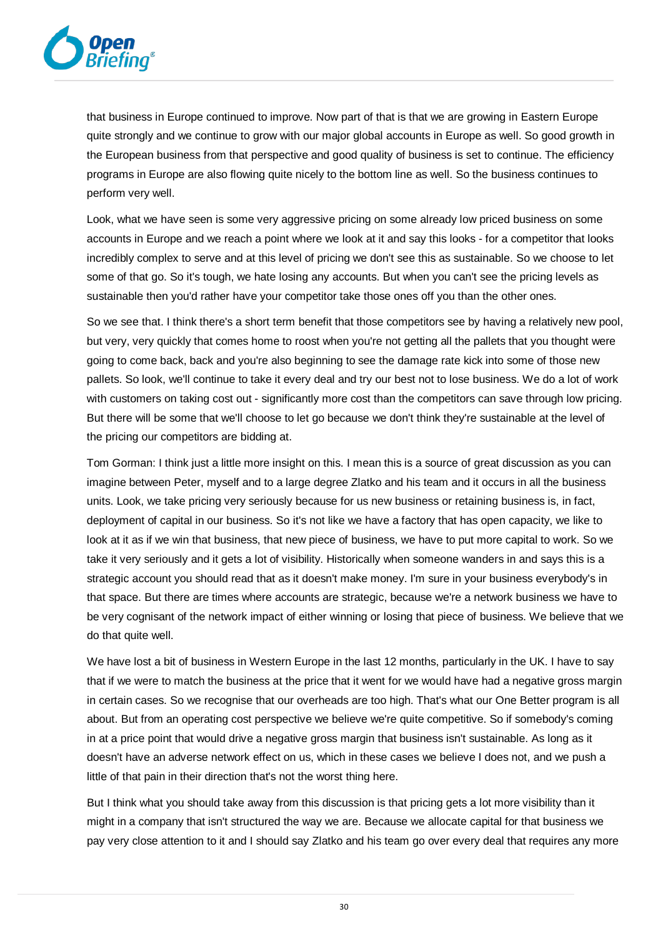

that business in Europe continued to improve. Now part of that is that we are growing in Eastern Europe quite strongly and we continue to grow with our major global accounts in Europe as well. So good growth in the European business from that perspective and good quality of business is set to continue. The efficiency programs in Europe are also flowing quite nicely to the bottom line as well. So the business continues to perform very well.

Look, what we have seen is some very aggressive pricing on some already low priced business on some accounts in Europe and we reach a point where we look at it and say this looks - for a competitor that looks incredibly complex to serve and at this level of pricing we don't see this as sustainable. So we choose to let some of that go. So it's tough, we hate losing any accounts. But when you can't see the pricing levels as sustainable then you'd rather have your competitor take those ones off you than the other ones.

So we see that. I think there's a short term benefit that those competitors see by having a relatively new pool, but very, very quickly that comes home to roost when you're not getting all the pallets that you thought were going to come back, back and you're also beginning to see the damage rate kick into some of those new pallets. So look, we'll continue to take it every deal and try our best not to lose business. We do a lot of work with customers on taking cost out - significantly more cost than the competitors can save through low pricing. But there will be some that we'll choose to let go because we don't think they're sustainable at the level of the pricing our competitors are bidding at.

Tom Gorman: I think just a little more insight on this. I mean this is a source of great discussion as you can imagine between Peter, myself and to a large degree Zlatko and his team and it occurs in all the business units. Look, we take pricing very seriously because for us new business or retaining business is, in fact, deployment of capital in our business. So it's not like we have a factory that has open capacity, we like to look at it as if we win that business, that new piece of business, we have to put more capital to work. So we take it very seriously and it gets a lot of visibility. Historically when someone wanders in and says this is a strategic account you should read that as it doesn't make money. I'm sure in your business everybody's in that space. But there are times where accounts are strategic, because we're a network business we have to be very cognisant of the network impact of either winning or losing that piece of business. We believe that we do that quite well.

We have lost a bit of business in Western Europe in the last 12 months, particularly in the UK. I have to say that if we were to match the business at the price that it went for we would have had a negative gross margin in certain cases. So we recognise that our overheads are too high. That's what our One Better program is all about. But from an operating cost perspective we believe we're quite competitive. So if somebody's coming in at a price point that would drive a negative gross margin that business isn't sustainable. As long as it doesn't have an adverse network effect on us, which in these cases we believe I does not, and we push a little of that pain in their direction that's not the worst thing here.

But I think what you should take away from this discussion is that pricing gets a lot more visibility than it might in a company that isn't structured the way we are. Because we allocate capital for that business we pay very close attention to it and I should say Zlatko and his team go over every deal that requires any more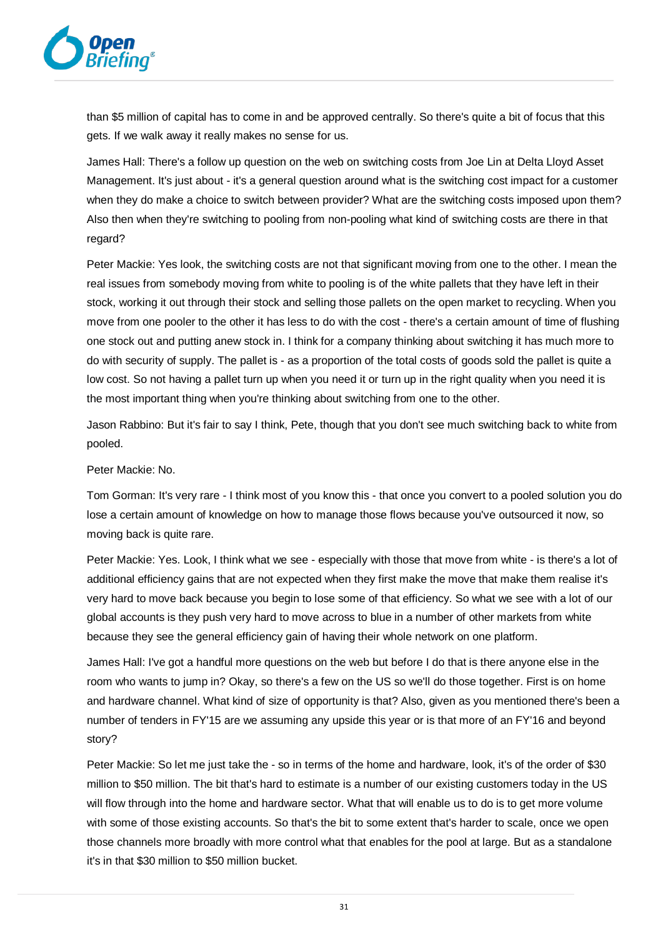

than \$5 million of capital has to come in and be approved centrally. So there's quite a bit of focus that this gets. If we walk away it really makes no sense for us.

James Hall: There's a follow up question on the web on switching costs from Joe Lin at Delta Lloyd Asset Management. It's just about - it's a general question around what is the switching cost impact for a customer when they do make a choice to switch between provider? What are the switching costs imposed upon them? Also then when they're switching to pooling from non-pooling what kind of switching costs are there in that regard?

Peter Mackie: Yes look, the switching costs are not that significant moving from one to the other. I mean the real issues from somebody moving from white to pooling is of the white pallets that they have left in their stock, working it out through their stock and selling those pallets on the open market to recycling. When you move from one pooler to the other it has less to do with the cost - there's a certain amount of time of flushing one stock out and putting anew stock in. I think for a company thinking about switching it has much more to do with security of supply. The pallet is - as a proportion of the total costs of goods sold the pallet is quite a low cost. So not having a pallet turn up when you need it or turn up in the right quality when you need it is the most important thing when you're thinking about switching from one to the other.

Jason Rabbino: But it's fair to say I think, Pete, though that you don't see much switching back to white from pooled.

Peter Mackie: No.

Tom Gorman: It's very rare - I think most of you know this - that once you convert to a pooled solution you do lose a certain amount of knowledge on how to manage those flows because you've outsourced it now, so moving back is quite rare.

Peter Mackie: Yes. Look, I think what we see - especially with those that move from white - is there's a lot of additional efficiency gains that are not expected when they first make the move that make them realise it's very hard to move back because you begin to lose some of that efficiency. So what we see with a lot of our global accounts is they push very hard to move across to blue in a number of other markets from white because they see the general efficiency gain of having their whole network on one platform.

James Hall: I've got a handful more questions on the web but before I do that is there anyone else in the room who wants to jump in? Okay, so there's a few on the US so we'll do those together. First is on home and hardware channel. What kind of size of opportunity is that? Also, given as you mentioned there's been a number of tenders in FY'15 are we assuming any upside this year or is that more of an FY'16 and beyond story?

Peter Mackie: So let me just take the - so in terms of the home and hardware, look, it's of the order of \$30 million to \$50 million. The bit that's hard to estimate is a number of our existing customers today in the US will flow through into the home and hardware sector. What that will enable us to do is to get more volume with some of those existing accounts. So that's the bit to some extent that's harder to scale, once we open those channels more broadly with more control what that enables for the pool at large. But as a standalone it's in that \$30 million to \$50 million bucket.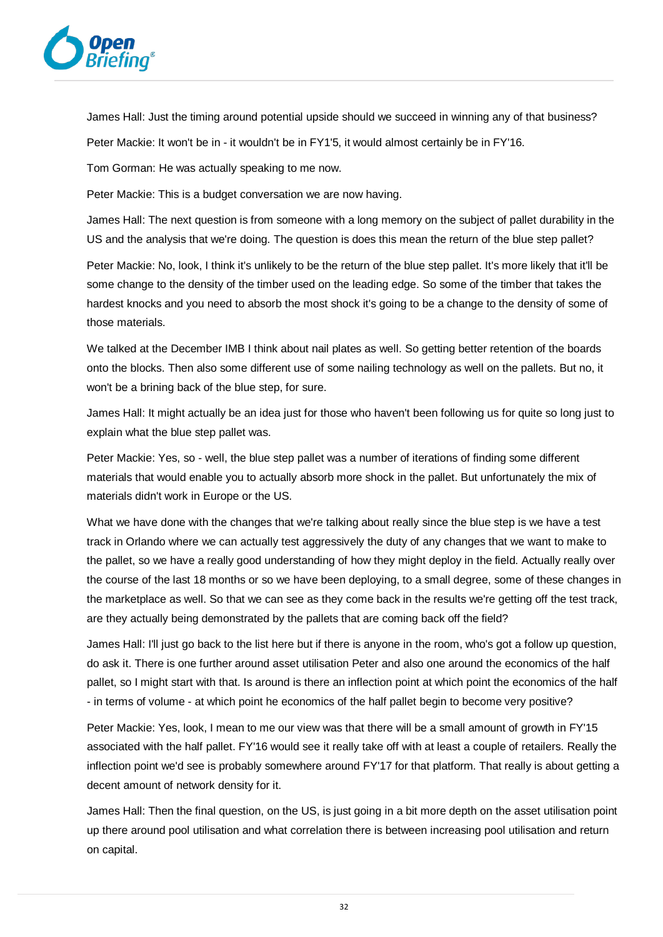

James Hall: Just the timing around potential upside should we succeed in winning any of that business? Peter Mackie: It won't be in - it wouldn't be in FY1'5, it would almost certainly be in FY'16.

Tom Gorman: He was actually speaking to me now.

Peter Mackie: This is a budget conversation we are now having.

James Hall: The next question is from someone with a long memory on the subject of pallet durability in the US and the analysis that we're doing. The question is does this mean the return of the blue step pallet?

Peter Mackie: No, look, I think it's unlikely to be the return of the blue step pallet. It's more likely that it'll be some change to the density of the timber used on the leading edge. So some of the timber that takes the hardest knocks and you need to absorb the most shock it's going to be a change to the density of some of those materials.

We talked at the December IMB I think about nail plates as well. So getting better retention of the boards onto the blocks. Then also some different use of some nailing technology as well on the pallets. But no, it won't be a brining back of the blue step, for sure.

James Hall: It might actually be an idea just for those who haven't been following us for quite so long just to explain what the blue step pallet was.

Peter Mackie: Yes, so - well, the blue step pallet was a number of iterations of finding some different materials that would enable you to actually absorb more shock in the pallet. But unfortunately the mix of materials didn't work in Europe or the US.

What we have done with the changes that we're talking about really since the blue step is we have a test track in Orlando where we can actually test aggressively the duty of any changes that we want to make to the pallet, so we have a really good understanding of how they might deploy in the field. Actually really over the course of the last 18 months or so we have been deploying, to a small degree, some of these changes in the marketplace as well. So that we can see as they come back in the results we're getting off the test track, are they actually being demonstrated by the pallets that are coming back off the field?

James Hall: I'll just go back to the list here but if there is anyone in the room, who's got a follow up question, do ask it. There is one further around asset utilisation Peter and also one around the economics of the half pallet, so I might start with that. Is around is there an inflection point at which point the economics of the half - in terms of volume - at which point he economics of the half pallet begin to become very positive?

Peter Mackie: Yes, look, I mean to me our view was that there will be a small amount of growth in FY'15 associated with the half pallet. FY'16 would see it really take off with at least a couple of retailers. Really the inflection point we'd see is probably somewhere around FY'17 for that platform. That really is about getting a decent amount of network density for it.

James Hall: Then the final question, on the US, is just going in a bit more depth on the asset utilisation point up there around pool utilisation and what correlation there is between increasing pool utilisation and return on capital.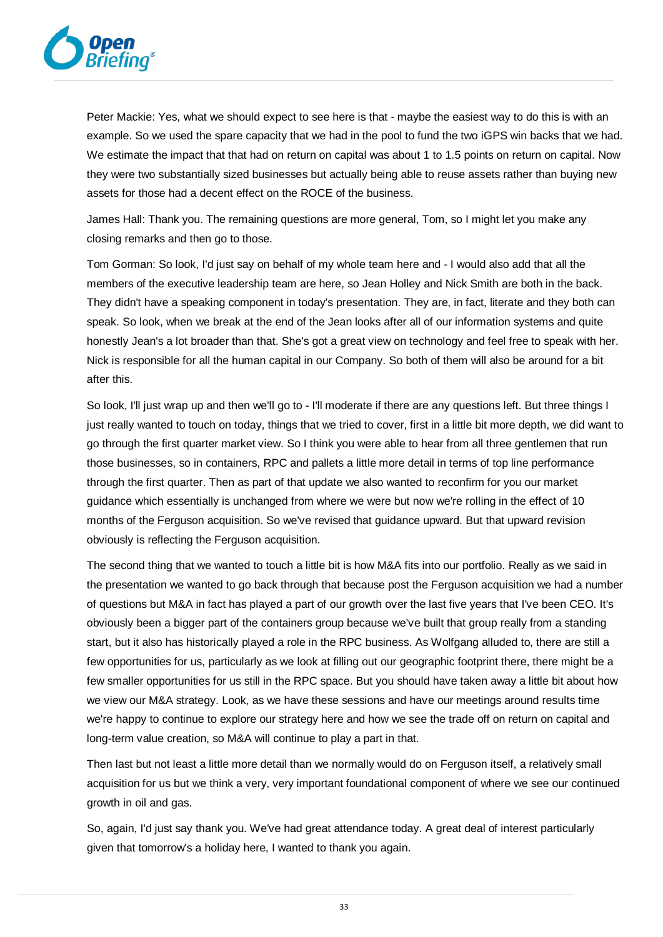

Peter Mackie: Yes, what we should expect to see here is that - maybe the easiest way to do this is with an example. So we used the spare capacity that we had in the pool to fund the two iGPS win backs that we had. We estimate the impact that that had on return on capital was about 1 to 1.5 points on return on capital. Now they were two substantially sized businesses but actually being able to reuse assets rather than buying new assets for those had a decent effect on the ROCE of the business.

James Hall: Thank you. The remaining questions are more general, Tom, so I might let you make any closing remarks and then go to those.

Tom Gorman: So look, I'd just say on behalf of my whole team here and - I would also add that all the members of the executive leadership team are here, so Jean Holley and Nick Smith are both in the back. They didn't have a speaking component in today's presentation. They are, in fact, literate and they both can speak. So look, when we break at the end of the Jean looks after all of our information systems and quite honestly Jean's a lot broader than that. She's got a great view on technology and feel free to speak with her. Nick is responsible for all the human capital in our Company. So both of them will also be around for a bit after this.

So look, I'll just wrap up and then we'll go to - I'll moderate if there are any questions left. But three things I just really wanted to touch on today, things that we tried to cover, first in a little bit more depth, we did want to go through the first quarter market view. So I think you were able to hear from all three gentlemen that run those businesses, so in containers, RPC and pallets a little more detail in terms of top line performance through the first quarter. Then as part of that update we also wanted to reconfirm for you our market guidance which essentially is unchanged from where we were but now we're rolling in the effect of 10 months of the Ferguson acquisition. So we've revised that guidance upward. But that upward revision obviously is reflecting the Ferguson acquisition.

The second thing that we wanted to touch a little bit is how M&A fits into our portfolio. Really as we said in the presentation we wanted to go back through that because post the Ferguson acquisition we had a number of questions but M&A in fact has played a part of our growth over the last five years that I've been CEO. It's obviously been a bigger part of the containers group because we've built that group really from a standing start, but it also has historically played a role in the RPC business. As Wolfgang alluded to, there are still a few opportunities for us, particularly as we look at filling out our geographic footprint there, there might be a few smaller opportunities for us still in the RPC space. But you should have taken away a little bit about how we view our M&A strategy. Look, as we have these sessions and have our meetings around results time we're happy to continue to explore our strategy here and how we see the trade off on return on capital and long-term value creation, so M&A will continue to play a part in that.

Then last but not least a little more detail than we normally would do on Ferguson itself, a relatively small acquisition for us but we think a very, very important foundational component of where we see our continued growth in oil and gas.

So, again, I'd just say thank you. We've had great attendance today. A great deal of interest particularly given that tomorrow's a holiday here, I wanted to thank you again.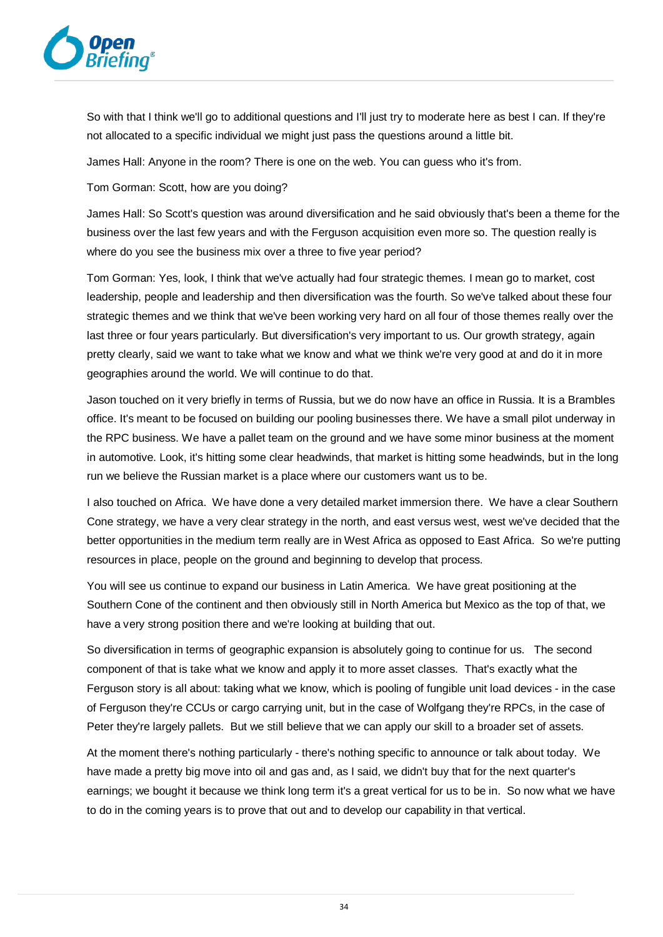

So with that I think we'll go to additional questions and I'll just try to moderate here as best I can. If they're not allocated to a specific individual we might just pass the questions around a little bit.

James Hall: Anyone in the room? There is one on the web. You can guess who it's from.

Tom Gorman: Scott, how are you doing?

James Hall: So Scott's question was around diversification and he said obviously that's been a theme for the business over the last few years and with the Ferguson acquisition even more so. The question really is where do you see the business mix over a three to five year period?

Tom Gorman: Yes, look, I think that we've actually had four strategic themes. I mean go to market, cost leadership, people and leadership and then diversification was the fourth. So we've talked about these four strategic themes and we think that we've been working very hard on all four of those themes really over the last three or four years particularly. But diversification's very important to us. Our growth strategy, again pretty clearly, said we want to take what we know and what we think we're very good at and do it in more geographies around the world. We will continue to do that.

Jason touched on it very briefly in terms of Russia, but we do now have an office in Russia. It is a Brambles office. It's meant to be focused on building our pooling businesses there. We have a small pilot underway in the RPC business. We have a pallet team on the ground and we have some minor business at the moment in automotive. Look, it's hitting some clear headwinds, that market is hitting some headwinds, but in the long run we believe the Russian market is a place where our customers want us to be.

I also touched on Africa. We have done a very detailed market immersion there. We have a clear Southern Cone strategy, we have a very clear strategy in the north, and east versus west, west we've decided that the better opportunities in the medium term really are in West Africa as opposed to East Africa. So we're putting resources in place, people on the ground and beginning to develop that process.

You will see us continue to expand our business in Latin America. We have great positioning at the Southern Cone of the continent and then obviously still in North America but Mexico as the top of that, we have a very strong position there and we're looking at building that out.

So diversification in terms of geographic expansion is absolutely going to continue for us. The second component of that is take what we know and apply it to more asset classes. That's exactly what the Ferguson story is all about: taking what we know, which is pooling of fungible unit load devices - in the case of Ferguson they're CCUs or cargo carrying unit, but in the case of Wolfgang they're RPCs, in the case of Peter they're largely pallets. But we still believe that we can apply our skill to a broader set of assets.

At the moment there's nothing particularly - there's nothing specific to announce or talk about today. We have made a pretty big move into oil and gas and, as I said, we didn't buy that for the next quarter's earnings; we bought it because we think long term it's a great vertical for us to be in. So now what we have to do in the coming years is to prove that out and to develop our capability in that vertical.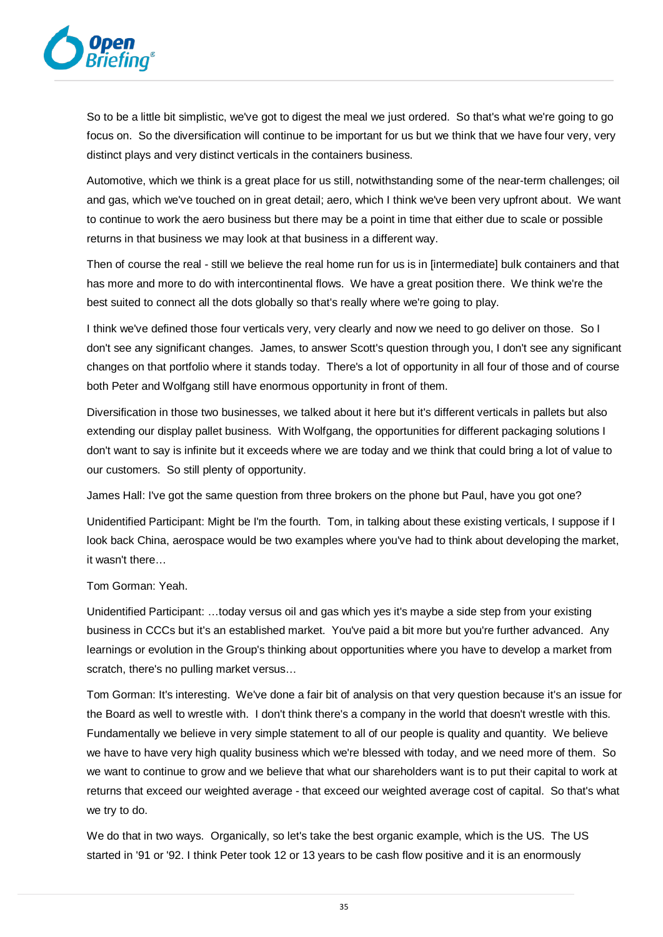

So to be a little bit simplistic, we've got to digest the meal we just ordered. So that's what we're going to go focus on. So the diversification will continue to be important for us but we think that we have four very, very distinct plays and very distinct verticals in the containers business.

Automotive, which we think is a great place for us still, notwithstanding some of the near-term challenges; oil and gas, which we've touched on in great detail; aero, which I think we've been very upfront about. We want to continue to work the aero business but there may be a point in time that either due to scale or possible returns in that business we may look at that business in a different way.

Then of course the real - still we believe the real home run for us is in [intermediate] bulk containers and that has more and more to do with intercontinental flows. We have a great position there. We think we're the best suited to connect all the dots globally so that's really where we're going to play.

I think we've defined those four verticals very, very clearly and now we need to go deliver on those. So I don't see any significant changes. James, to answer Scott's question through you, I don't see any significant changes on that portfolio where it stands today. There's a lot of opportunity in all four of those and of course both Peter and Wolfgang still have enormous opportunity in front of them.

Diversification in those two businesses, we talked about it here but it's different verticals in pallets but also extending our display pallet business. With Wolfgang, the opportunities for different packaging solutions I don't want to say is infinite but it exceeds where we are today and we think that could bring a lot of value to our customers. So still plenty of opportunity.

James Hall: I've got the same question from three brokers on the phone but Paul, have you got one?

Unidentified Participant: Might be I'm the fourth. Tom, in talking about these existing verticals, I suppose if I look back China, aerospace would be two examples where you've had to think about developing the market, it wasn't there…

## Tom Gorman: Yeah.

Unidentified Participant: …today versus oil and gas which yes it's maybe a side step from your existing business in CCCs but it's an established market. You've paid a bit more but you're further advanced. Any learnings or evolution in the Group's thinking about opportunities where you have to develop a market from scratch, there's no pulling market versus…

Tom Gorman: It's interesting. We've done a fair bit of analysis on that very question because it's an issue for the Board as well to wrestle with. I don't think there's a company in the world that doesn't wrestle with this. Fundamentally we believe in very simple statement to all of our people is quality and quantity. We believe we have to have very high quality business which we're blessed with today, and we need more of them. So we want to continue to grow and we believe that what our shareholders want is to put their capital to work at returns that exceed our weighted average - that exceed our weighted average cost of capital. So that's what we try to do.

We do that in two ways. Organically, so let's take the best organic example, which is the US. The US started in '91 or '92. I think Peter took 12 or 13 years to be cash flow positive and it is an enormously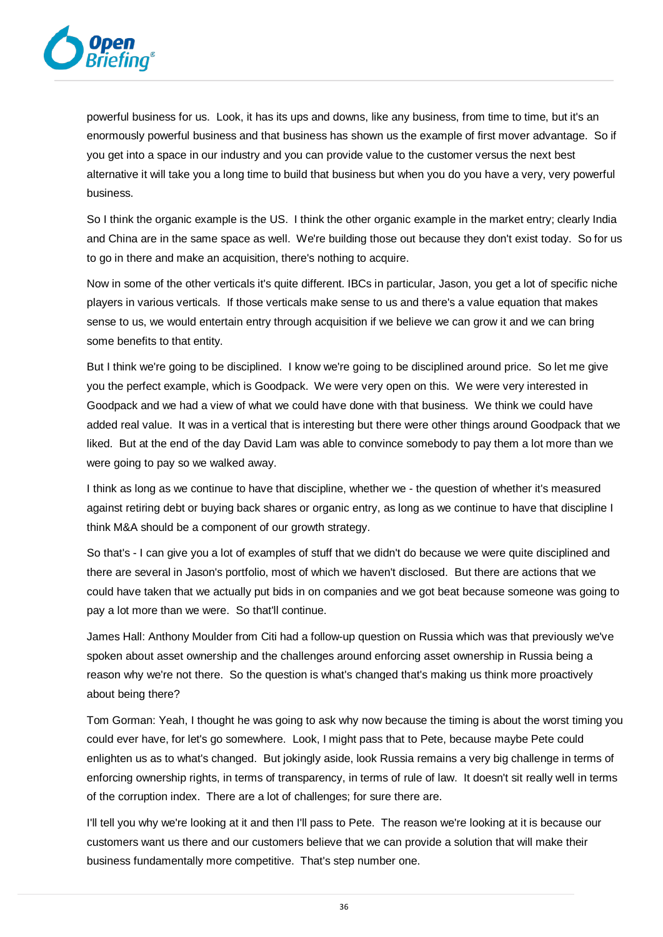

powerful business for us. Look, it has its ups and downs, like any business, from time to time, but it's an enormously powerful business and that business has shown us the example of first mover advantage. So if you get into a space in our industry and you can provide value to the customer versus the next best alternative it will take you a long time to build that business but when you do you have a very, very powerful business.

So I think the organic example is the US. I think the other organic example in the market entry; clearly India and China are in the same space as well. We're building those out because they don't exist today. So for us to go in there and make an acquisition, there's nothing to acquire.

Now in some of the other verticals it's quite different. IBCs in particular, Jason, you get a lot of specific niche players in various verticals. If those verticals make sense to us and there's a value equation that makes sense to us, we would entertain entry through acquisition if we believe we can grow it and we can bring some benefits to that entity.

But I think we're going to be disciplined. I know we're going to be disciplined around price. So let me give you the perfect example, which is Goodpack. We were very open on this. We were very interested in Goodpack and we had a view of what we could have done with that business. We think we could have added real value. It was in a vertical that is interesting but there were other things around Goodpack that we liked. But at the end of the day David Lam was able to convince somebody to pay them a lot more than we were going to pay so we walked away.

I think as long as we continue to have that discipline, whether we - the question of whether it's measured against retiring debt or buying back shares or organic entry, as long as we continue to have that discipline I think M&A should be a component of our growth strategy.

So that's - I can give you a lot of examples of stuff that we didn't do because we were quite disciplined and there are several in Jason's portfolio, most of which we haven't disclosed. But there are actions that we could have taken that we actually put bids in on companies and we got beat because someone was going to pay a lot more than we were. So that'll continue.

James Hall: Anthony Moulder from Citi had a follow-up question on Russia which was that previously we've spoken about asset ownership and the challenges around enforcing asset ownership in Russia being a reason why we're not there. So the question is what's changed that's making us think more proactively about being there?

Tom Gorman: Yeah, I thought he was going to ask why now because the timing is about the worst timing you could ever have, for let's go somewhere. Look, I might pass that to Pete, because maybe Pete could enlighten us as to what's changed. But jokingly aside, look Russia remains a very big challenge in terms of enforcing ownership rights, in terms of transparency, in terms of rule of law. It doesn't sit really well in terms of the corruption index. There are a lot of challenges; for sure there are.

I'll tell you why we're looking at it and then I'll pass to Pete. The reason we're looking at it is because our customers want us there and our customers believe that we can provide a solution that will make their business fundamentally more competitive. That's step number one.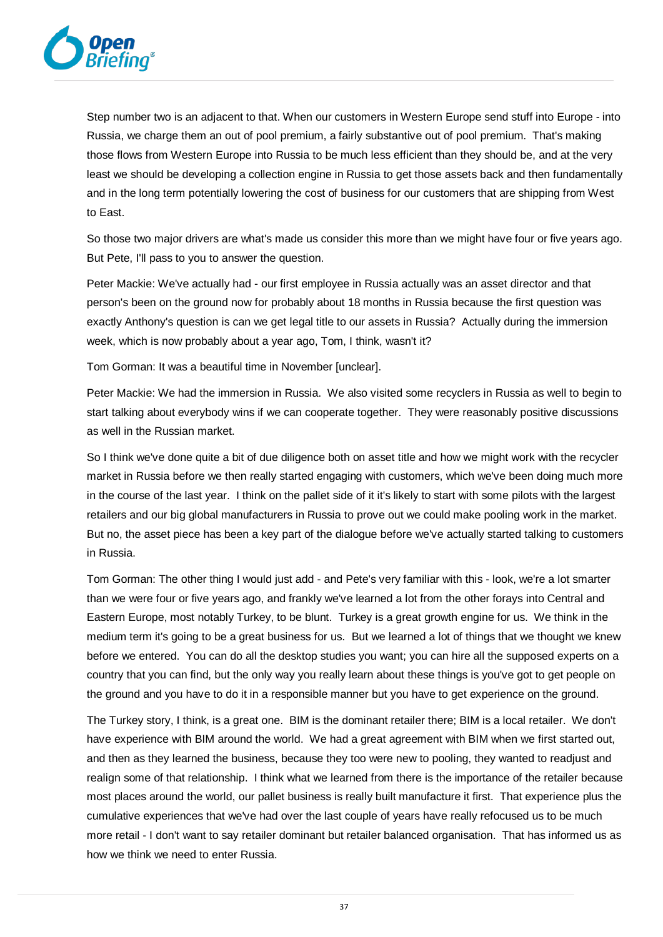

Step number two is an adjacent to that. When our customers in Western Europe send stuff into Europe - into Russia, we charge them an out of pool premium, a fairly substantive out of pool premium. That's making those flows from Western Europe into Russia to be much less efficient than they should be, and at the very least we should be developing a collection engine in Russia to get those assets back and then fundamentally and in the long term potentially lowering the cost of business for our customers that are shipping from West to East.

So those two major drivers are what's made us consider this more than we might have four or five years ago. But Pete, I'll pass to you to answer the question.

Peter Mackie: We've actually had - our first employee in Russia actually was an asset director and that person's been on the ground now for probably about 18 months in Russia because the first question was exactly Anthony's question is can we get legal title to our assets in Russia? Actually during the immersion week, which is now probably about a year ago, Tom, I think, wasn't it?

Tom Gorman: It was a beautiful time in November [unclear].

Peter Mackie: We had the immersion in Russia. We also visited some recyclers in Russia as well to begin to start talking about everybody wins if we can cooperate together. They were reasonably positive discussions as well in the Russian market.

So I think we've done quite a bit of due diligence both on asset title and how we might work with the recycler market in Russia before we then really started engaging with customers, which we've been doing much more in the course of the last year. I think on the pallet side of it it's likely to start with some pilots with the largest retailers and our big global manufacturers in Russia to prove out we could make pooling work in the market. But no, the asset piece has been a key part of the dialogue before we've actually started talking to customers in Russia.

Tom Gorman: The other thing I would just add - and Pete's very familiar with this - look, we're a lot smarter than we were four or five years ago, and frankly we've learned a lot from the other forays into Central and Eastern Europe, most notably Turkey, to be blunt. Turkey is a great growth engine for us. We think in the medium term it's going to be a great business for us. But we learned a lot of things that we thought we knew before we entered. You can do all the desktop studies you want; you can hire all the supposed experts on a country that you can find, but the only way you really learn about these things is you've got to get people on the ground and you have to do it in a responsible manner but you have to get experience on the ground.

The Turkey story, I think, is a great one. BIM is the dominant retailer there; BIM is a local retailer. We don't have experience with BIM around the world. We had a great agreement with BIM when we first started out, and then as they learned the business, because they too were new to pooling, they wanted to readjust and realign some of that relationship. I think what we learned from there is the importance of the retailer because most places around the world, our pallet business is really built manufacture it first. That experience plus the cumulative experiences that we've had over the last couple of years have really refocused us to be much more retail - I don't want to say retailer dominant but retailer balanced organisation. That has informed us as how we think we need to enter Russia.